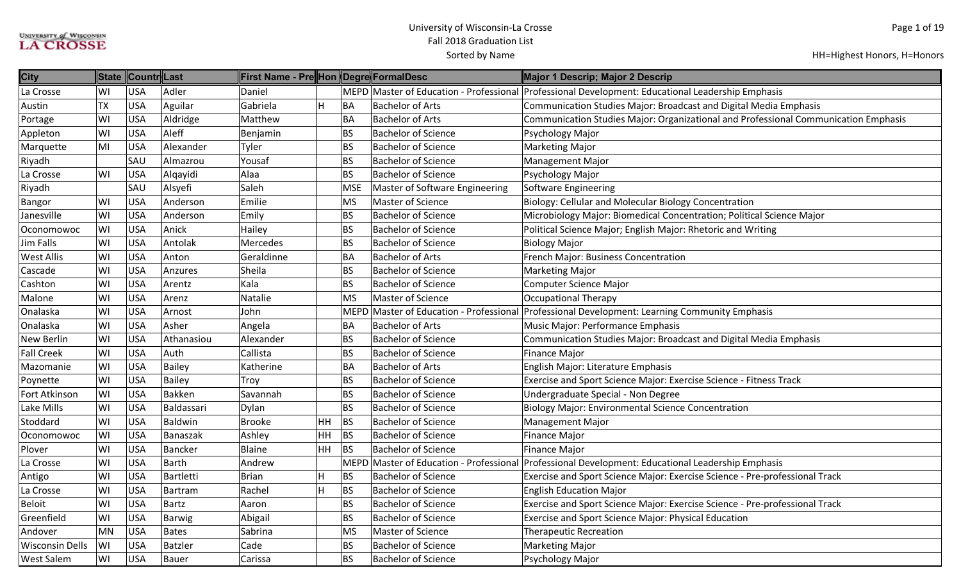| <b>City</b>            | <b>State</b> | Countr Last |               | First Name - Pre Hon Degre FormalDesc |    |            |                                         | Major 1 Descrip; Major 2 Descrip                                                    |
|------------------------|--------------|-------------|---------------|---------------------------------------|----|------------|-----------------------------------------|-------------------------------------------------------------------------------------|
| La Crosse              | WI           | <b>USA</b>  | Adler         | Daniel                                |    |            | MEPD Master of Education - Professional | Professional Development: Educational Leadership Emphasis                           |
| Austin                 | <b>TX</b>    | <b>USA</b>  | Aguilar       | Gabriela                              | H  | BA         | <b>Bachelor of Arts</b>                 | Communication Studies Major: Broadcast and Digital Media Emphasis                   |
| Portage                | WI           | <b>USA</b>  | Aldridge      | Matthew                               |    | BA         | <b>Bachelor of Arts</b>                 | Communication Studies Major: Organizational and Professional Communication Emphasis |
| Appleton               | WI           | <b>USA</b>  | Aleff         | Benjamin                              |    | BS         | <b>Bachelor of Science</b>              | Psychology Major                                                                    |
| Marquette              | MI           | <b>USA</b>  | Alexander     | Tyler                                 |    | <b>BS</b>  | <b>Bachelor of Science</b>              | <b>Marketing Major</b>                                                              |
| Riyadh                 |              | SAU         | Almazrou      | Yousaf                                |    | <b>BS</b>  | <b>Bachelor of Science</b>              | <b>Management Major</b>                                                             |
| La Crosse              | WI           | <b>USA</b>  | Alqayidi      | Alaa                                  |    | <b>BS</b>  | <b>Bachelor of Science</b>              | Psychology Major                                                                    |
| Riyadh                 |              | SAU         | Alsyefi       | Saleh                                 |    | <b>MSE</b> | Master of Software Engineering          | <b>Software Engineering</b>                                                         |
| Bangor                 | WI           | <b>USA</b>  | Anderson      | Emilie                                |    | MS         | Master of Science                       | Biology: Cellular and Molecular Biology Concentration                               |
| Janesville             | WI           | <b>USA</b>  | Anderson      | Emily                                 |    | BS         | <b>Bachelor of Science</b>              | Microbiology Major: Biomedical Concentration; Political Science Major               |
| Oconomowoc             | WI           | <b>USA</b>  | Anick         | Hailey                                |    | <b>BS</b>  | <b>Bachelor of Science</b>              | Political Science Major; English Major: Rhetoric and Writing                        |
| Jim Falls              | WI           | <b>USA</b>  | Antolak       | Mercedes                              |    | <b>BS</b>  | <b>Bachelor of Science</b>              | <b>Biology Major</b>                                                                |
| <b>West Allis</b>      | WI           | <b>USA</b>  | Anton         | Geraldinne                            |    | BA         | <b>Bachelor of Arts</b>                 | French Major: Business Concentration                                                |
| Cascade                | WI           | <b>USA</b>  | Anzures       | Sheila                                |    | <b>BS</b>  | <b>Bachelor of Science</b>              | <b>Marketing Major</b>                                                              |
| Cashton                | WI           | <b>USA</b>  | Arentz        | Kala                                  |    | <b>BS</b>  | <b>Bachelor of Science</b>              | <b>Computer Science Major</b>                                                       |
| Malone                 | WI           | <b>USA</b>  | Arenz         | Natalie                               |    | MS         | Master of Science                       | <b>Occupational Therapy</b>                                                         |
| Onalaska               | WI           | <b>USA</b>  | Arnost        | John                                  |    | MEPD       | Master of Education - Professional      | Professional Development: Learning Community Emphasis                               |
| Onalaska               | WI           | <b>USA</b>  | Asher         | Angela                                |    | BA         | <b>Bachelor of Arts</b>                 | Music Major: Performance Emphasis                                                   |
| New Berlin             | WI           | <b>USA</b>  | Athanasiou    | Alexander                             |    | BS         | <b>Bachelor of Science</b>              | Communication Studies Major: Broadcast and Digital Media Emphasis                   |
| <b>Fall Creek</b>      | WI           | <b>USA</b>  | Auth          | Callista                              |    | <b>BS</b>  | <b>Bachelor of Science</b>              | Finance Major                                                                       |
| Mazomanie              | WI           | <b>USA</b>  | <b>Bailey</b> | Katherine                             |    | BA         | <b>Bachelor of Arts</b>                 | English Major: Literature Emphasis                                                  |
| Poynette               | WI           | <b>USA</b>  | Bailey        | Troy                                  |    | <b>BS</b>  | <b>Bachelor of Science</b>              | Exercise and Sport Science Major: Exercise Science - Fitness Track                  |
| Fort Atkinson          | WI           | <b>USA</b>  | Bakken        | Savannah                              |    | <b>BS</b>  | <b>Bachelor of Science</b>              | Undergraduate Special - Non Degree                                                  |
| Lake Mills             | WI           | <b>USA</b>  | Baldassari    | Dylan                                 |    | <b>BS</b>  | <b>Bachelor of Science</b>              | <b>Biology Major: Environmental Science Concentration</b>                           |
| Stoddard               | WI           | <b>USA</b>  | Baldwin       | Brooke                                | HH | <b>BS</b>  | <b>Bachelor of Science</b>              | <b>Management Major</b>                                                             |
| Oconomowoc             | WI           | <b>USA</b>  | Banaszak      | Ashley                                | HH | BS         | <b>Bachelor of Science</b>              | <b>Finance Major</b>                                                                |
| Plover                 | WI           | <b>USA</b>  | Bancker       | Blaine                                | HH | BS         | <b>Bachelor of Science</b>              | Finance Major                                                                       |
| La Crosse              | WI           | <b>USA</b>  | Barth         | Andrew                                |    |            | MEPD Master of Education - Professional | Professional Development: Educational Leadership Emphasis                           |
| Antigo                 | WI           | <b>USA</b>  | Bartletti     | <b>Brian</b>                          | H  | <b>BS</b>  | <b>Bachelor of Science</b>              | Exercise and Sport Science Major: Exercise Science - Pre-professional Track         |
| La Crosse              | WI           | <b>USA</b>  | Bartram       | Rachel                                | H  | <b>BS</b>  | <b>Bachelor of Science</b>              | <b>English Education Major</b>                                                      |
| <b>Beloit</b>          | WI           | <b>USA</b>  | Bartz         | Aaron                                 |    | <b>BS</b>  | <b>Bachelor of Science</b>              | Exercise and Sport Science Major: Exercise Science - Pre-professional Track         |
| Greenfield             | WI           | <b>USA</b>  | Barwig        | Abigail                               |    | <b>BS</b>  | <b>Bachelor of Science</b>              | Exercise and Sport Science Major: Physical Education                                |
| Andover                | <b>MN</b>    | <b>USA</b>  | Bates         | Sabrina                               |    | MS         | Master of Science                       | <b>Therapeutic Recreation</b>                                                       |
| <b>Wisconsin Dells</b> | WI           | <b>USA</b>  | Batzler       | Cade                                  |    | <b>BS</b>  | <b>Bachelor of Science</b>              | <b>Marketing Major</b>                                                              |
| <b>West Salem</b>      | WI           | <b>USA</b>  | Bauer         | Carissa                               |    | <b>BS</b>  | <b>Bachelor of Science</b>              | Psychology Major                                                                    |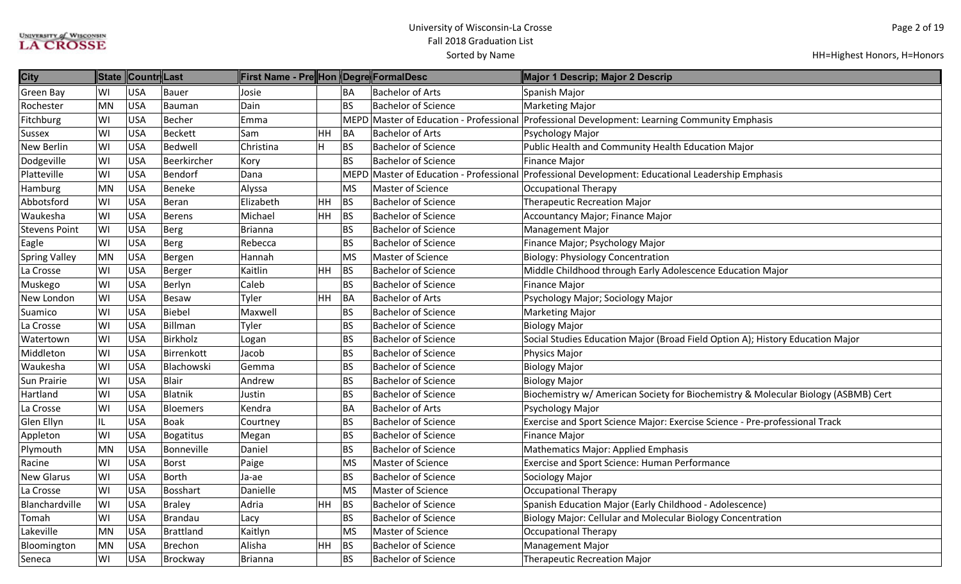| <b>City</b>          | <b>State</b> | Countr Last |               | First Name - Pre Hon  Degre FormalDesc |               |           |                                         | Major 1 Descrip; Major 2 Descrip                                                   |
|----------------------|--------------|-------------|---------------|----------------------------------------|---------------|-----------|-----------------------------------------|------------------------------------------------------------------------------------|
| <b>Green Bay</b>     | WI           | <b>USA</b>  | Bauer         | Josie                                  |               | BA        | <b>Bachelor of Arts</b>                 | Spanish Major                                                                      |
| Rochester            | MN           | <b>USA</b>  | Bauman        | Dain                                   |               | BS        | <b>Bachelor of Science</b>              | Marketing Major                                                                    |
| Fitchburg            | WI           | <b>USA</b>  | Becher        | Emma                                   |               |           | MEPD Master of Education - Professional | Professional Development: Learning Community Emphasis                              |
| <b>Sussex</b>        | WI           | <b>USA</b>  | Beckett       | <b>Sam</b>                             | $\mathsf{HH}$ | BA        | <b>Bachelor of Arts</b>                 | Psychology Major                                                                   |
| <b>New Berlin</b>    | WI           | <b>USA</b>  | Bedwell       | Christina                              | H             | <b>BS</b> | <b>Bachelor of Science</b>              | Public Health and Community Health Education Major                                 |
| Dodgeville           | WI           | <b>USA</b>  | Beerkircher   | Kory                                   |               | <b>BS</b> | <b>Bachelor of Science</b>              | <b>Finance Major</b>                                                               |
| Platteville          | WI           | <b>USA</b>  | Bendorf       | Dana                                   |               |           | MEPD Master of Education - Professional | Professional Development: Educational Leadership Emphasis                          |
| Hamburg              | MN           | <b>USA</b>  | Beneke        | Alyssa                                 |               | <b>MS</b> | <b>Master of Science</b>                | <b>Occupational Therapy</b>                                                        |
| Abbotsford           | WI           | <b>USA</b>  | Beran         | Elizabeth                              | HH            | <b>BS</b> | <b>Bachelor of Science</b>              | <b>Therapeutic Recreation Major</b>                                                |
| Waukesha             | WI           | <b>USA</b>  | Berens        | Michael                                | HH            | BS        | <b>Bachelor of Science</b>              | Accountancy Major; Finance Major                                                   |
| <b>Stevens Point</b> | WI           | <b>USA</b>  | Berg          | Brianna                                |               | <b>BS</b> | <b>Bachelor of Science</b>              | <b>Management Major</b>                                                            |
| Eagle                | WI           | <b>USA</b>  | Berg          | Rebecca                                |               | <b>BS</b> | <b>Bachelor of Science</b>              | Finance Major; Psychology Major                                                    |
| <b>Spring Valley</b> | MN           | <b>USA</b>  | Bergen        | Hannah                                 |               | <b>MS</b> | Master of Science                       | <b>Biology: Physiology Concentration</b>                                           |
| La Crosse            | WI           | <b>USA</b>  | Berger        | Kaitlin                                | HH            | BS        | <b>Bachelor of Science</b>              | Middle Childhood through Early Adolescence Education Major                         |
| Muskego              | WI           | <b>USA</b>  | Berlyn        | Caleb                                  |               | <b>BS</b> | <b>Bachelor of Science</b>              | <b>Finance Major</b>                                                               |
| New London           | WI           | <b>USA</b>  | Besaw         | Tyler                                  | HH            | BA        | <b>Bachelor of Arts</b>                 | Psychology Major; Sociology Major                                                  |
| Suamico              | WI           | <b>USA</b>  | Biebel        | Maxwell                                |               | <b>BS</b> | <b>Bachelor of Science</b>              | <b>Marketing Major</b>                                                             |
| La Crosse            | WI           | <b>USA</b>  | Billman       | Tyler                                  |               | <b>BS</b> | <b>Bachelor of Science</b>              | <b>Biology Major</b>                                                               |
| Watertown            | WI           | <b>USA</b>  | Birkholz      | Logan                                  |               | <b>BS</b> | <b>Bachelor of Science</b>              | Social Studies Education Major (Broad Field Option A); History Education Major     |
| Middleton            | WI           | <b>USA</b>  | Birrenkott    | Jacob                                  |               | <b>BS</b> | <b>Bachelor of Science</b>              | Physics Major                                                                      |
| Waukesha             | WI           | <b>USA</b>  | Blachowski    | Gemma                                  |               | <b>BS</b> | <b>Bachelor of Science</b>              | <b>Biology Major</b>                                                               |
| Sun Prairie          | WI           | <b>USA</b>  | Blair         | Andrew                                 |               | <b>BS</b> | <b>Bachelor of Science</b>              | <b>Biology Major</b>                                                               |
| Hartland             | WI           | <b>USA</b>  | Blatnik       | Justin                                 |               | <b>BS</b> | <b>Bachelor of Science</b>              | Biochemistry w/ American Society for Biochemistry & Molecular Biology (ASBMB) Cert |
| La Crosse            | WI           | <b>USA</b>  | Bloemers      | Kendra                                 |               | BA        | <b>Bachelor of Arts</b>                 | Psychology Major                                                                   |
| Glen Ellyn           | IL           | <b>USA</b>  | Boak          | Courtney                               |               | <b>BS</b> | <b>Bachelor of Science</b>              | Exercise and Sport Science Major: Exercise Science - Pre-professional Track        |
| Appleton             | WI           | <b>USA</b>  | Bogatitus     | Megan                                  |               | <b>BS</b> | <b>Bachelor of Science</b>              | <b>Finance Major</b>                                                               |
| Plymouth             | MN           | <b>USA</b>  | Bonneville    | Daniel                                 |               | <b>BS</b> | <b>Bachelor of Science</b>              | <b>Mathematics Major: Applied Emphasis</b>                                         |
| Racine               | WI           | <b>USA</b>  | Borst         | Paige                                  |               | MS        | <b>Master of Science</b>                | Exercise and Sport Science: Human Performance                                      |
| <b>New Glarus</b>    | WI           | <b>USA</b>  | Borth         | Ja-ae                                  |               | <b>BS</b> | <b>Bachelor of Science</b>              | Sociology Major                                                                    |
| La Crosse            | WI           | <b>USA</b>  | Bosshart      | Danielle                               |               | <b>MS</b> | <b>Master of Science</b>                | <b>Occupational Therapy</b>                                                        |
| Blanchardville       | WI           | <b>USA</b>  | <b>Braley</b> | Adria                                  | HH            | BS        | <b>Bachelor of Science</b>              | Spanish Education Major (Early Childhood - Adolescence)                            |
| Tomah                | WI           | <b>USA</b>  | Brandau       | Lacy                                   |               | <b>BS</b> | <b>Bachelor of Science</b>              | Biology Major: Cellular and Molecular Biology Concentration                        |
| Lakeville            | MN           | <b>USA</b>  | Brattland     | Kaitlyn                                |               | <b>MS</b> | Master of Science                       | <b>Occupational Therapy</b>                                                        |
| Bloomington          | MN           | <b>USA</b>  | Brechon       | Alisha                                 | HH            | <b>BS</b> | <b>Bachelor of Science</b>              | <b>Management Major</b>                                                            |
| Seneca               | WI           | <b>USA</b>  | Brockway      | Brianna                                |               | <b>BS</b> | <b>Bachelor of Science</b>              | <b>Therapeutic Recreation Major</b>                                                |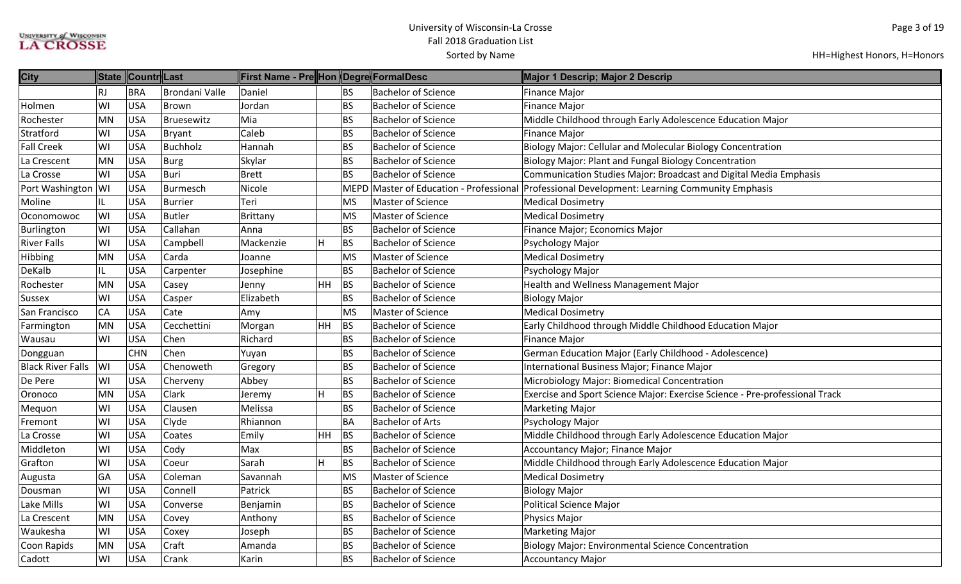| <b>City</b>              |           | State Countr Last |                | First Name - Pre Hon Degre FormalDesc |     |             |                                    | Major 1 Descrip; Major 2 Descrip                                            |
|--------------------------|-----------|-------------------|----------------|---------------------------------------|-----|-------------|------------------------------------|-----------------------------------------------------------------------------|
|                          | <b>RJ</b> | <b>BRA</b>        | Brondani Valle | Daniel                                |     | <b>BS</b>   | <b>Bachelor of Science</b>         | <b>Finance Major</b>                                                        |
| Holmen                   | WI        | <b>USA</b>        | Brown          | Jordan                                |     | <b>BS</b>   | <b>Bachelor of Science</b>         | <b>Finance Major</b>                                                        |
| Rochester                | <b>MN</b> | <b>USA</b>        | Bruesewitz     | Mia                                   |     | <b>BS</b>   | <b>Bachelor of Science</b>         | Middle Childhood through Early Adolescence Education Major                  |
| Stratford                | WI        | <b>USA</b>        | Bryant         | Caleb                                 |     | <b>BS</b>   | <b>Bachelor of Science</b>         | <b>Finance Major</b>                                                        |
| <b>Fall Creek</b>        | WI        | <b>USA</b>        | Buchholz       | Hannah                                |     | <b>BS</b>   | <b>Bachelor of Science</b>         | <b>Biology Major: Cellular and Molecular Biology Concentration</b>          |
| La Crescent              | <b>MN</b> | <b>USA</b>        | <b>Burg</b>    | Skylar                                |     | <b>BS</b>   | <b>Bachelor of Science</b>         | Biology Major: Plant and Fungal Biology Concentration                       |
| La Crosse                | WI        | <b>USA</b>        | Buri           | Brett                                 |     | <b>BS</b>   | <b>Bachelor of Science</b>         | Communication Studies Major: Broadcast and Digital Media Emphasis           |
| Port Washington WI       |           | <b>USA</b>        | Burmesch       | Nicole                                |     | <b>MEPD</b> | Master of Education - Professional | Professional Development: Learning Community Emphasis                       |
| Moline                   | IL        | <b>USA</b>        | Burrier        | Teri                                  |     | MS          | <b>Master of Science</b>           | <b>Medical Dosimetry</b>                                                    |
| Oconomowoc               | WI        | <b>USA</b>        | <b>Butler</b>  | Brittany                              |     | <b>MS</b>   | Master of Science                  | <b>Medical Dosimetry</b>                                                    |
| Burlington               | WI        | <b>USA</b>        | Callahan       | Anna                                  |     | <b>BS</b>   | <b>Bachelor of Science</b>         | Finance Major; Economics Major                                              |
| <b>River Falls</b>       | WI        | <b>USA</b>        | Campbell       | Mackenzie                             | H   | <b>BS</b>   | <b>Bachelor of Science</b>         | Psychology Major                                                            |
| Hibbing                  | <b>MN</b> | <b>USA</b>        | Carda          | Joanne                                |     | <b>MS</b>   | Master of Science                  | <b>Medical Dosimetry</b>                                                    |
| DeKalb                   | IL.       | <b>USA</b>        | Carpenter      | Josephine                             |     | <b>BS</b>   | <b>Bachelor of Science</b>         | Psychology Major                                                            |
| Rochester                | <b>MN</b> | <b>USA</b>        | Casey          | Jenny                                 | HH. | BS          | <b>Bachelor of Science</b>         | Health and Wellness Management Major                                        |
| <b>Sussex</b>            | WI        | <b>USA</b>        | Casper         | Elizabeth                             |     | <b>BS</b>   | <b>Bachelor of Science</b>         | <b>Biology Major</b>                                                        |
| San Francisco            | CA        | <b>USA</b>        | Cate           | Amy                                   |     | <b>MS</b>   | <b>Master of Science</b>           | <b>Medical Dosimetry</b>                                                    |
| Farmington               | <b>MN</b> | <b>USA</b>        | Cecchettini    | Morgan                                | HH. | BS          | <b>Bachelor of Science</b>         | Early Childhood through Middle Childhood Education Major                    |
| Wausau                   | WI        | <b>USA</b>        | Chen           | Richard                               |     | <b>BS</b>   | <b>Bachelor of Science</b>         | Finance Major                                                               |
| Dongguan                 |           | <b>CHN</b>        | Chen           | Yuyan                                 |     | <b>BS</b>   | <b>Bachelor of Science</b>         | German Education Major (Early Childhood - Adolescence)                      |
| <b>Black River Falls</b> | WI        | <b>USA</b>        | Chenoweth      | Gregory                               |     | <b>BS</b>   | <b>Bachelor of Science</b>         | International Business Major; Finance Major                                 |
| De Pere                  | WI        | <b>USA</b>        | Cherveny       | Abbey                                 |     | <b>BS</b>   | <b>Bachelor of Science</b>         | Microbiology Major: Biomedical Concentration                                |
| Oronoco                  | <b>MN</b> | <b>USA</b>        | Clark          | Jeremy                                | H   | <b>BS</b>   | <b>Bachelor of Science</b>         | Exercise and Sport Science Major: Exercise Science - Pre-professional Track |
| Mequon                   | WI        | <b>USA</b>        | Clausen        | Melissa                               |     | <b>BS</b>   | <b>Bachelor of Science</b>         | <b>Marketing Major</b>                                                      |
| Fremont                  | WI        | <b>USA</b>        | Clyde          | Rhiannon                              |     | <b>BA</b>   | <b>Bachelor of Arts</b>            | Psychology Major                                                            |
| La Crosse                | WI        | <b>USA</b>        | Coates         | Emily                                 | HH  | BS          | <b>Bachelor of Science</b>         | Middle Childhood through Early Adolescence Education Major                  |
| Middleton                | WI        | <b>USA</b>        | Cody           | Max                                   |     | <b>BS</b>   | <b>Bachelor of Science</b>         | Accountancy Major; Finance Major                                            |
| Grafton                  | WI        | <b>USA</b>        | Coeur          | Sarah                                 | H   | <b>BS</b>   | <b>Bachelor of Science</b>         | Middle Childhood through Early Adolescence Education Major                  |
| Augusta                  | GA        | <b>USA</b>        | Coleman        | Savannah                              |     | <b>MS</b>   | <b>Master of Science</b>           | <b>Medical Dosimetry</b>                                                    |
| Dousman                  | WI        | <b>USA</b>        | Connell        | Patrick                               |     | <b>BS</b>   | <b>Bachelor of Science</b>         | <b>Biology Major</b>                                                        |
| Lake Mills               | WI        | <b>USA</b>        | Converse       | Benjamin                              |     | <b>BS</b>   | <b>Bachelor of Science</b>         | <b>Political Science Major</b>                                              |
| La Crescent              | <b>MN</b> | <b>USA</b>        | Covey          | Anthony                               |     | <b>BS</b>   | <b>Bachelor of Science</b>         | Physics Major                                                               |
| Waukesha                 | WI        | <b>USA</b>        | Coxey          | Joseph                                |     | <b>BS</b>   | <b>Bachelor of Science</b>         | <b>Marketing Major</b>                                                      |
| Coon Rapids              | <b>MN</b> | <b>USA</b>        | Craft          | Amanda                                |     | <b>BS</b>   | <b>Bachelor of Science</b>         | <b>Biology Major: Environmental Science Concentration</b>                   |
| Cadott                   | WI        | <b>USA</b>        | Crank          | Karin                                 |     | <b>BS</b>   | <b>Bachelor of Science</b>         | <b>Accountancy Major</b>                                                    |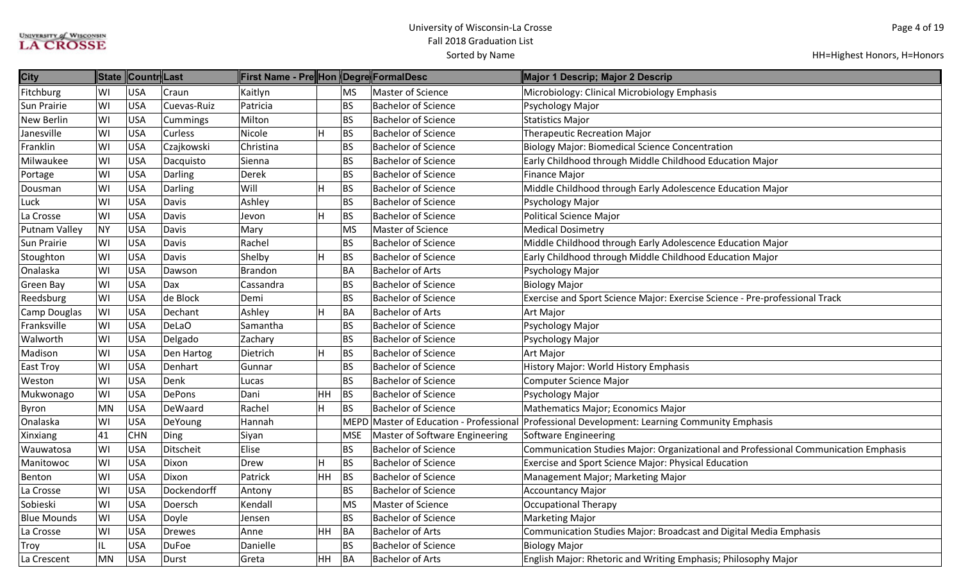| <b>City</b>        | <b>State</b> | ∥Countr∥Last |               | First Name - Pre Hon   Degre  FormalDesc |           |           |                                | Major 1 Descrip; Major 2 Descrip                                                              |
|--------------------|--------------|--------------|---------------|------------------------------------------|-----------|-----------|--------------------------------|-----------------------------------------------------------------------------------------------|
| Fitchburg          | WI           | <b>USA</b>   | Craun         | Kaitlyn                                  |           | MS        | <b>Master of Science</b>       | Microbiology: Clinical Microbiology Emphasis                                                  |
| Sun Prairie        | WI           | <b>USA</b>   | Cuevas-Ruiz   | Patricia                                 |           | <b>BS</b> | <b>Bachelor of Science</b>     | Psychology Major                                                                              |
| <b>New Berlin</b>  | WI           | <b>USA</b>   | Cummings      | Milton                                   |           | <b>BS</b> | <b>Bachelor of Science</b>     | <b>Statistics Major</b>                                                                       |
| Janesville         | WI           | <b>USA</b>   | Curless       | Nicole                                   | H         | BS        | <b>Bachelor of Science</b>     | <b>Therapeutic Recreation Major</b>                                                           |
| Franklin           | WI           | <b>USA</b>   | Czajkowski    | Christina                                |           | <b>BS</b> | <b>Bachelor of Science</b>     | <b>Biology Major: Biomedical Science Concentration</b>                                        |
| Milwaukee          | WI           | <b>USA</b>   | Dacquisto     | Sienna                                   |           | <b>BS</b> | <b>Bachelor of Science</b>     | Early Childhood through Middle Childhood Education Major                                      |
| Portage            | WI           | <b>USA</b>   | Darling       | Derek                                    |           | <b>BS</b> | <b>Bachelor of Science</b>     | <b>Finance Major</b>                                                                          |
| Dousman            | WI           | <b>USA</b>   | Darling       | Will                                     |           | <b>BS</b> | <b>Bachelor of Science</b>     | Middle Childhood through Early Adolescence Education Major                                    |
| Luck               | WI           | <b>USA</b>   | Davis         | Ashley                                   |           | <b>BS</b> | <b>Bachelor of Science</b>     | Psychology Major                                                                              |
| La Crosse          | WI           | <b>USA</b>   | Davis         | Jevon                                    | н         | <b>BS</b> | <b>Bachelor of Science</b>     | Political Science Major                                                                       |
| Putnam Valley      | <b>NY</b>    | <b>USA</b>   | Davis         | Mary                                     |           | <b>MS</b> | Master of Science              | <b>Medical Dosimetry</b>                                                                      |
| Sun Prairie        | WI           | <b>USA</b>   | Davis         | Rachel                                   |           | <b>BS</b> | <b>Bachelor of Science</b>     | Middle Childhood through Early Adolescence Education Major                                    |
| Stoughton          | WI           | <b>USA</b>   | Davis         | Shelby                                   |           | <b>BS</b> | <b>Bachelor of Science</b>     | Early Childhood through Middle Childhood Education Major                                      |
| Onalaska           | WI           | <b>USA</b>   | Dawson        | <b>Brandon</b>                           |           | <b>BA</b> | <b>Bachelor of Arts</b>        | Psychology Major                                                                              |
| Green Bay          | WI           | <b>USA</b>   | Dax           | Cassandra                                |           | <b>BS</b> | <b>Bachelor of Science</b>     | <b>Biology Major</b>                                                                          |
| Reedsburg          | WI           | <b>USA</b>   | de Block      | Demi                                     |           | <b>BS</b> | <b>Bachelor of Science</b>     | Exercise and Sport Science Major: Exercise Science - Pre-professional Track                   |
| Camp Douglas       | WI           | <b>USA</b>   | Dechant       | Ashley                                   | н         | BA        | <b>Bachelor of Arts</b>        | Art Major                                                                                     |
| Franksville        | WI           | <b>USA</b>   | DeLaO         | Samantha                                 |           | <b>BS</b> | <b>Bachelor of Science</b>     | Psychology Major                                                                              |
| Walworth           | WI           | <b>USA</b>   | Delgado       | Zachary                                  |           | <b>BS</b> | <b>Bachelor of Science</b>     | Psychology Major                                                                              |
| Madison            | WI           | <b>USA</b>   | Den Hartog    | Dietrich                                 | H         | <b>BS</b> | <b>Bachelor of Science</b>     | Art Major                                                                                     |
| <b>East Troy</b>   | WI           | <b>USA</b>   | Denhart       | Gunnar                                   |           | <b>BS</b> | <b>Bachelor of Science</b>     | History Major: World History Emphasis                                                         |
| Weston             | WI           | <b>USA</b>   | Denk          | Lucas                                    |           | <b>BS</b> | <b>Bachelor of Science</b>     | Computer Science Major                                                                        |
| Mukwonago          | WI           | <b>USA</b>   | <b>DePons</b> | Dani                                     | HH        | <b>BS</b> | <b>Bachelor of Science</b>     | Psychology Major                                                                              |
| <b>Byron</b>       | <b>MN</b>    | <b>USA</b>   | DeWaard       | Rachel                                   | H         | <b>BS</b> | <b>Bachelor of Science</b>     | Mathematics Major; Economics Major                                                            |
| Onalaska           | WI           | <b>USA</b>   | DeYoung       | Hannah                                   |           |           |                                | MEPD Master of Education - Professional Professional Development: Learning Community Emphasis |
| Xinxiang           | 41           | <b>CHN</b>   | Ding          | Siyan                                    |           | MSE       | Master of Software Engineering | Software Engineering                                                                          |
| Wauwatosa          | WI           | <b>USA</b>   | Ditscheit     | Elise                                    |           | <b>BS</b> | <b>Bachelor of Science</b>     | Communication Studies Major: Organizational and Professional Communication Emphasis           |
| Manitowoc          | WI           | <b>USA</b>   | Dixon         | Drew                                     | н         | BS        | <b>Bachelor of Science</b>     | Exercise and Sport Science Major: Physical Education                                          |
| Benton             | WI           | <b>USA</b>   | Dixon         | Patrick                                  | HH        | <b>BS</b> | <b>Bachelor of Science</b>     | Management Major; Marketing Major                                                             |
| La Crosse          | WI           | <b>USA</b>   | Dockendorff   | Antony                                   |           | <b>BS</b> | <b>Bachelor of Science</b>     | Accountancy Major                                                                             |
| Sobieski           | WI           | <b>USA</b>   | Doersch       | Kendall                                  |           | <b>MS</b> | <b>Master of Science</b>       | Occupational Therapy                                                                          |
| <b>Blue Mounds</b> | WI           | <b>USA</b>   | Doyle         | Jensen                                   |           | <b>BS</b> | <b>Bachelor of Science</b>     | <b>Marketing Major</b>                                                                        |
| La Crosse          | WI           | <b>USA</b>   | Drewes        | Anne                                     | HH        | BA        | <b>Bachelor of Arts</b>        | Communication Studies Major: Broadcast and Digital Media Emphasis                             |
| Troy               | IL           | <b>USA</b>   | <b>DuFoe</b>  | Danielle                                 |           | <b>BS</b> | <b>Bachelor of Science</b>     | <b>Biology Major</b>                                                                          |
| La Crescent        | <b>MN</b>    | <b>USA</b>   | Durst         | Greta                                    | <b>HH</b> | BA        | <b>Bachelor of Arts</b>        | English Major: Rhetoric and Writing Emphasis; Philosophy Major                                |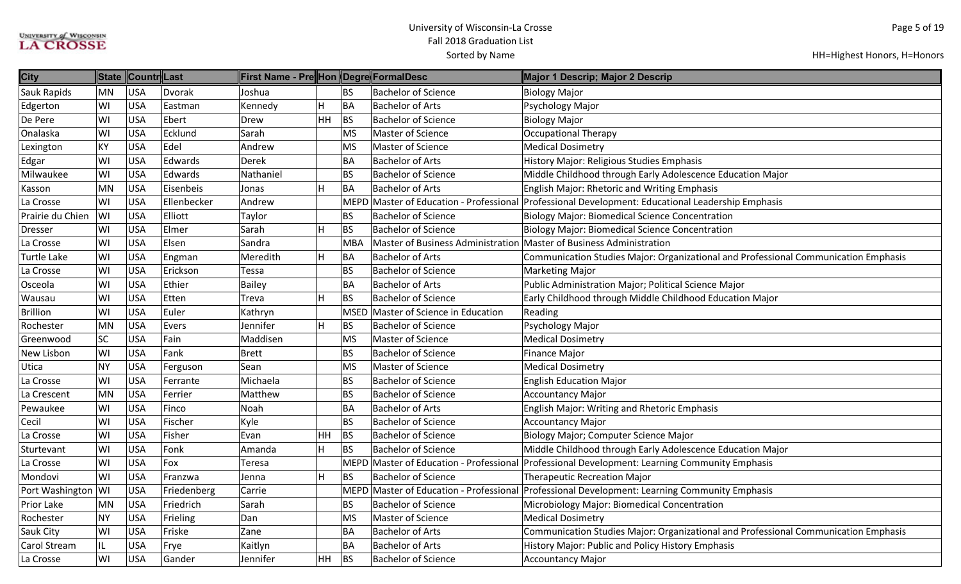| <b>City</b>        |           | State Countr Last |             | First Name - Pre Hon Degre FormalDesc |           |            |                                          | Major 1 Descrip; Major 2 Descrip                                                                  |
|--------------------|-----------|-------------------|-------------|---------------------------------------|-----------|------------|------------------------------------------|---------------------------------------------------------------------------------------------------|
| Sauk Rapids        | MN        | <b>USA</b>        | Dvorak      | Joshua                                |           | BS         | <b>Bachelor of Science</b>               | <b>Biology Major</b>                                                                              |
| Edgerton           | WI        | <b>USA</b>        | Eastman     | Kennedy                               | H         | BA         | <b>Bachelor of Arts</b>                  | Psychology Major                                                                                  |
| De Pere            | WI        | USA               | Ebert       | Drew                                  | <b>HH</b> | BS         | <b>Bachelor of Science</b>               | <b>Biology Major</b>                                                                              |
| Onalaska           | WI        | USA               | Ecklund     | Sarah                                 |           | <b>MS</b>  | <b>Master of Science</b>                 | <b>Occupational Therapy</b>                                                                       |
| Lexington          | KΥ        | USA               | Edel        | Andrew                                |           | <b>MS</b>  | Master of Science                        | <b>Medical Dosimetry</b>                                                                          |
| Edgar              | W١        | USA               | Edwards     | Derek                                 |           | BA         | <b>Bachelor of Arts</b>                  | History Major: Religious Studies Emphasis                                                         |
| Milwaukee          | WI        | USA               | Edwards     | Nathaniel                             |           | BS         | <b>Bachelor of Science</b>               | Middle Childhood through Early Adolescence Education Major                                        |
| Kasson             | MN        | USA               | Eisenbeis   | Jonas                                 | H         | BA         | <b>Bachelor of Arts</b>                  | <b>English Major: Rhetoric and Writing Emphasis</b>                                               |
| La Crosse          | WI        | USA               | Ellenbecker | Andrew                                |           |            |                                          | MEPD Master of Education - Professional Professional Development: Educational Leadership Emphasis |
| Prairie du Chien   | WI        | USA               | Elliott     | Taylor                                |           | <b>BS</b>  | <b>Bachelor of Science</b>               | <b>Biology Major: Biomedical Science Concentration</b>                                            |
| <b>Dresser</b>     | WI        | <b>USA</b>        | Elmer       | Sarah                                 | lН.       | <b>BS</b>  | <b>Bachelor of Science</b>               | <b>Biology Major: Biomedical Science Concentration</b>                                            |
| La Crosse          | WI        | <b>USA</b>        | Elsen       | Sandra                                |           | <b>MBA</b> | <b>Master of Business Administration</b> | Master of Business Administration                                                                 |
| Turtle Lake        | WI        | USA               | Engman      | Meredith                              | H         | BA         | <b>Bachelor of Arts</b>                  | Communication Studies Major: Organizational and Professional Communication Emphasis               |
| La Crosse          | WI        | USA               | Erickson    | Tessa                                 |           | <b>BS</b>  | <b>Bachelor of Science</b>               | <b>Marketing Major</b>                                                                            |
| Osceola            | WI        | USA               | Ethier      | <b>Bailey</b>                         |           | BA         | <b>Bachelor of Arts</b>                  | Public Administration Major; Political Science Major                                              |
| Wausau             | WI        | <b>USA</b>        | Etten       | Treva                                 | H         | <b>BS</b>  | <b>Bachelor of Science</b>               | Early Childhood through Middle Childhood Education Major                                          |
| <b>Brillion</b>    | WI        | USA               | Euler       | Kathryn                               |           |            | MSED Master of Science in Education      | Reading                                                                                           |
| Rochester          | MN        | <b>USA</b>        | Evers       | Jennifer                              | H         | BS         | <b>Bachelor of Science</b>               | Psychology Major                                                                                  |
| Greenwood          | SC        | USA               | Fain        | Maddisen                              |           | <b>MS</b>  | Master of Science                        | <b>Medical Dosimetry</b>                                                                          |
| New Lisbon         | WI        | <b>USA</b>        | Fank        | <b>Brett</b>                          |           | <b>BS</b>  | <b>Bachelor of Science</b>               | <b>Finance Major</b>                                                                              |
| Utica              | <b>NY</b> | <b>USA</b>        | Ferguson    | Sean                                  |           | <b>MS</b>  | Master of Science                        | <b>Medical Dosimetry</b>                                                                          |
| La Crosse          | WI        | USA               | Ferrante    | Michaela                              |           | <b>BS</b>  | <b>Bachelor of Science</b>               | <b>English Education Major</b>                                                                    |
| La Crescent        | MN        | <b>USA</b>        | Ferrier     | Matthew                               |           | <b>BS</b>  | <b>Bachelor of Science</b>               | <b>Accountancy Major</b>                                                                          |
| Pewaukee           | WI        | USA               | Finco       | Noah                                  |           | BA         | <b>Bachelor of Arts</b>                  | English Major: Writing and Rhetoric Emphasis                                                      |
| Cecil              | WI        | USA               | Fischer     | Kyle                                  |           | <b>BS</b>  | <b>Bachelor of Science</b>               | <b>Accountancy Major</b>                                                                          |
| La Crosse          | WI        | USA               | Fisher      | Evan                                  | HH        | BS         | <b>Bachelor of Science</b>               | Biology Major; Computer Science Major                                                             |
| Sturtevant         | WI        | <b>USA</b>        | Fonk        | Amanda                                | H         | BS         | <b>Bachelor of Science</b>               | Middle Childhood through Early Adolescence Education Major                                        |
| La Crosse          | WI        | USA               | Fox         | Teresa                                |           |            | MEPD Master of Education - Professional  | Professional Development: Learning Community Emphasis                                             |
| Mondovi            | WI        | USA               | Franzwa     | Jenna                                 | H         | <b>BS</b>  | <b>Bachelor of Science</b>               | <b>Therapeutic Recreation Major</b>                                                               |
| Port Washington WI |           | USA               | Friedenberg | Carrie                                |           |            |                                          | MEPD Master of Education - Professional Professional Development: Learning Community Emphasis     |
| Prior Lake         | MN        | <b>USA</b>        | Friedrich   | Sarah                                 |           | <b>BS</b>  | <b>Bachelor of Science</b>               | Microbiology Major: Biomedical Concentration                                                      |
| Rochester          | <b>NY</b> | <b>USA</b>        | Frieling    | Dan                                   |           | <b>MS</b>  | Master of Science                        | <b>Medical Dosimetry</b>                                                                          |
| Sauk City          | WI        | <b>USA</b>        | Friske      | Zane                                  |           | BA         | <b>Bachelor of Arts</b>                  | Communication Studies Major: Organizational and Professional Communication Emphasis               |
| Carol Stream       | IL        | USA               | Frye        | Kaitlyn                               |           | BA         | <b>Bachelor of Arts</b>                  | History Major: Public and Policy History Emphasis                                                 |
| La Crosse          | WI        | <b>USA</b>        | Gander      | Jennifer                              | HH        | <b>BS</b>  | <b>Bachelor of Science</b>               | <b>Accountancy Major</b>                                                                          |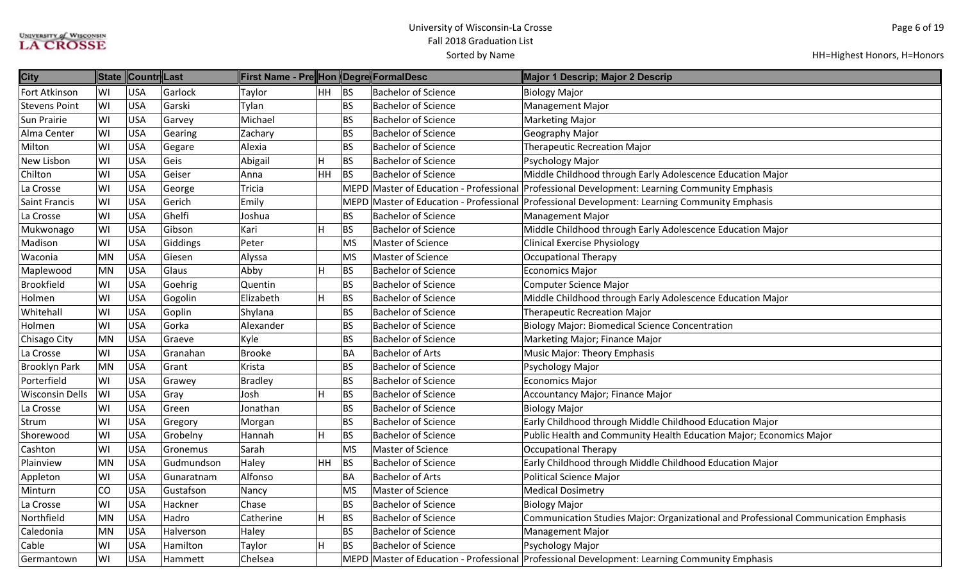| <b>City</b>            |           | State Countr Last |            | First Name - Pre∥Hon ∥Degre∥FormalDesc |    |           |                                         | Major 1 Descrip; Major 2 Descrip                                                              |
|------------------------|-----------|-------------------|------------|----------------------------------------|----|-----------|-----------------------------------------|-----------------------------------------------------------------------------------------------|
| Fort Atkinson          | WI        | <b>USA</b>        | Garlock    | Taylor                                 | HH | <b>BS</b> | <b>Bachelor of Science</b>              | <b>Biology Major</b>                                                                          |
| <b>Stevens Point</b>   | WI        | <b>USA</b>        | Garski     | Tylan                                  |    | <b>BS</b> | <b>Bachelor of Science</b>              | <b>Management Major</b>                                                                       |
| <b>Sun Prairie</b>     | WI        | <b>USA</b>        | Garvey     | Michael                                |    | <b>BS</b> | <b>Bachelor of Science</b>              | <b>Marketing Major</b>                                                                        |
| Alma Center            | WI        | <b>USA</b>        | Gearing    | Zachary                                |    | <b>BS</b> | <b>Bachelor of Science</b>              | Geography Major                                                                               |
| Milton                 | WI        | <b>USA</b>        | Gegare     | Alexia                                 |    | <b>BS</b> | <b>Bachelor of Science</b>              | <b>Therapeutic Recreation Major</b>                                                           |
| <b>New Lisbon</b>      | WI        | <b>USA</b>        | Geis       | Abigail                                | H  | <b>BS</b> | <b>Bachelor of Science</b>              | Psychology Major                                                                              |
| Chilton                | WI        | <b>USA</b>        | Geiser     | Anna                                   | HH | <b>BS</b> | <b>Bachelor of Science</b>              | Middle Childhood through Early Adolescence Education Major                                    |
| La Crosse              | WI        | <b>USA</b>        | George     | Tricia                                 |    |           | MEPD Master of Education - Professional | Professional Development: Learning Community Emphasis                                         |
| <b>Saint Francis</b>   | WI        | <b>USA</b>        | Gerich     | Emily                                  |    |           |                                         | MEPD Master of Education - Professional Professional Development: Learning Community Emphasis |
| La Crosse              | WI        | <b>USA</b>        | Ghelfi     | Joshua                                 |    | <b>BS</b> | <b>Bachelor of Science</b>              | <b>Management Major</b>                                                                       |
| Mukwonago              | WI        | <b>USA</b>        | Gibson     | Kari                                   | н  | <b>BS</b> | <b>Bachelor of Science</b>              | Middle Childhood through Early Adolescence Education Major                                    |
| Madison                | WI        | <b>USA</b>        | Giddings   | Peter                                  |    | <b>MS</b> | Master of Science                       | <b>Clinical Exercise Physiology</b>                                                           |
| Waconia                | MN        | <b>USA</b>        | Giesen     | Alyssa                                 |    | <b>MS</b> | Master of Science                       | <b>Occupational Therapy</b>                                                                   |
| Maplewood              | <b>MN</b> | <b>USA</b>        | Glaus      | Abby                                   | н  | <b>BS</b> | <b>Bachelor of Science</b>              | <b>Economics Major</b>                                                                        |
| <b>Brookfield</b>      | WI        | <b>USA</b>        | Goehrig    | Quentin                                |    | <b>BS</b> | <b>Bachelor of Science</b>              | <b>Computer Science Major</b>                                                                 |
| Holmen                 | WI        | <b>USA</b>        | Gogolin    | Elizabeth                              | H  | <b>BS</b> | <b>Bachelor of Science</b>              | Middle Childhood through Early Adolescence Education Major                                    |
| Whitehall              | WI        | <b>USA</b>        | Goplin     | Shylana                                |    | <b>BS</b> | <b>Bachelor of Science</b>              | <b>Therapeutic Recreation Major</b>                                                           |
| Holmen                 | WI        | <b>USA</b>        | Gorka      | Alexander                              |    | <b>BS</b> | <b>Bachelor of Science</b>              | <b>Biology Major: Biomedical Science Concentration</b>                                        |
| Chisago City           | MN        | <b>USA</b>        | Graeve     | Kyle                                   |    | <b>BS</b> | <b>Bachelor of Science</b>              | Marketing Major; Finance Major                                                                |
| La Crosse              | WI        | <b>USA</b>        | Granahan   | <b>Brooke</b>                          |    | <b>BA</b> | <b>Bachelor of Arts</b>                 | <b>Music Major: Theory Emphasis</b>                                                           |
| <b>Brooklyn Park</b>   | MN        | <b>USA</b>        | Grant      | Krista                                 |    | <b>BS</b> | <b>Bachelor of Science</b>              | Psychology Major                                                                              |
| Porterfield            | WI        | <b>USA</b>        | Grawey     | <b>Bradley</b>                         |    | <b>BS</b> | <b>Bachelor of Science</b>              | <b>Economics Major</b>                                                                        |
| <b>Wisconsin Dells</b> | WI        | <b>USA</b>        | Gray       | Josh                                   |    | <b>BS</b> | <b>Bachelor of Science</b>              | Accountancy Major; Finance Major                                                              |
| La Crosse              | WI        | <b>USA</b>        | Green      | Jonathan                               |    | <b>BS</b> | <b>Bachelor of Science</b>              | <b>Biology Major</b>                                                                          |
| Strum                  | WI        | <b>USA</b>        | Gregory    | Morgan                                 |    | <b>BS</b> | <b>Bachelor of Science</b>              | Early Childhood through Middle Childhood Education Major                                      |
| Shorewood              | WI        | <b>USA</b>        | Grobelny   | Hannah                                 | н  | <b>BS</b> | <b>Bachelor of Science</b>              | Public Health and Community Health Education Major; Economics Major                           |
| Cashton                | WI        | <b>USA</b>        | Gronemus   | Sarah                                  |    | <b>MS</b> | Master of Science                       | <b>Occupational Therapy</b>                                                                   |
| Plainview              | MN        | <b>USA</b>        | Gudmundson | Haley                                  | HH | BS        | <b>Bachelor of Science</b>              | Early Childhood through Middle Childhood Education Major                                      |
| Appleton               | WI        | <b>USA</b>        | Gunaratnam | Alfonso                                |    | <b>BA</b> | <b>Bachelor of Arts</b>                 | <b>Political Science Major</b>                                                                |
| Minturn                | <b>CO</b> | <b>USA</b>        | Gustafson  | Nancy                                  |    | <b>MS</b> | Master of Science                       | <b>Medical Dosimetry</b>                                                                      |
| La Crosse              | WI        | <b>USA</b>        | Hackner    | Chase                                  |    | <b>BS</b> | <b>Bachelor of Science</b>              | <b>Biology Major</b>                                                                          |
| Northfield             | <b>MN</b> | <b>USA</b>        | Hadro      | Catherine                              | н  | <b>BS</b> | <b>Bachelor of Science</b>              | Communication Studies Major: Organizational and Professional Communication Emphasis           |
| Caledonia              | MN        | USA               | Halverson  | Haley                                  |    | <b>BS</b> | <b>Bachelor of Science</b>              | <b>Management Major</b>                                                                       |
| Cable                  | WI        | <b>USA</b>        | Hamilton   | Taylor                                 | H  | <b>BS</b> | <b>Bachelor of Science</b>              | Psychology Major                                                                              |
| Germantown             | WI        | <b>USA</b>        | Hammett    | Chelsea                                |    |           |                                         | MEPD Master of Education - Professional Professional Development: Learning Community Emphasis |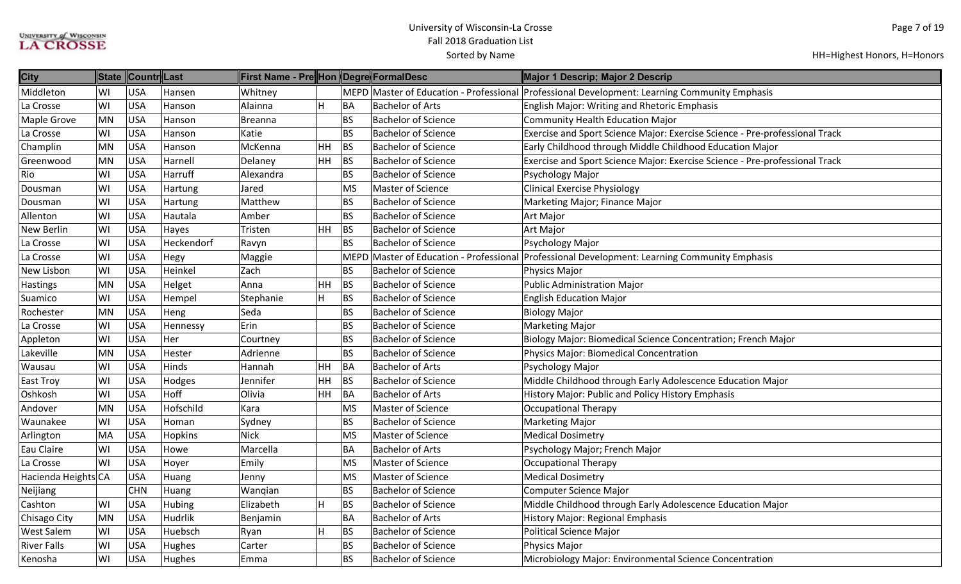| <b>City</b>         |           | State Countr Last |                | First Name - Pre Hon Degre FormalDesc |           |           |                            | Major 1 Descrip; Major 2 Descrip                                                                          |
|---------------------|-----------|-------------------|----------------|---------------------------------------|-----------|-----------|----------------------------|-----------------------------------------------------------------------------------------------------------|
| Middleton           | WI        | <b>USA</b>        | Hansen         | Whitnev                               |           |           |                            | $ $ MEPD $ $ Master of Education - Professional $ $ Professional Development: Learning Community Emphasis |
| La Crosse           | WI        | <b>USA</b>        | Hanson         | Alainna                               | H         | BA        | <b>Bachelor of Arts</b>    | <b>English Major: Writing and Rhetoric Emphasis</b>                                                       |
| Maple Grove         | <b>MN</b> | <b>USA</b>        | Hanson         | <b>Breanna</b>                        |           | <b>BS</b> | <b>Bachelor of Science</b> | Community Health Education Major                                                                          |
| La Crosse           | WI        | <b>USA</b>        | Hanson         | Katie                                 |           | <b>BS</b> | <b>Bachelor of Science</b> | Exercise and Sport Science Major: Exercise Science - Pre-professional Track                               |
| Champlin            | <b>MN</b> | <b>USA</b>        | Hanson         | McKenna                               | <b>HH</b> | <b>BS</b> | <b>Bachelor of Science</b> | Early Childhood through Middle Childhood Education Major                                                  |
| Greenwood           | <b>MN</b> | <b>USA</b>        | Harnell        | Delaney                               | HH.       | BS        | <b>Bachelor of Science</b> | Exercise and Sport Science Major: Exercise Science - Pre-professional Track                               |
| Rio                 | WI        | <b>USA</b>        | Harruff        | Alexandra                             |           | <b>BS</b> | <b>Bachelor of Science</b> | Psychology Major                                                                                          |
| Dousman             | WI        | <b>USA</b>        | Hartung        | Jared                                 |           | <b>MS</b> | Master of Science          | <b>Clinical Exercise Physiology</b>                                                                       |
| Dousman             | WI        | <b>USA</b>        | Hartung        | Matthew                               |           | <b>BS</b> | <b>Bachelor of Science</b> | Marketing Major; Finance Major                                                                            |
| Allenton            | WI        | <b>USA</b>        | Hautala        | Amber                                 |           | <b>BS</b> | <b>Bachelor of Science</b> | Art Major                                                                                                 |
| New Berlin          | WI        | <b>USA</b>        | Hayes          | Tristen                               | HH        | <b>BS</b> | <b>Bachelor of Science</b> | <b>Art Major</b>                                                                                          |
| La Crosse           | WI        | <b>USA</b>        | Heckendorf     | Ravyn                                 |           | <b>BS</b> | <b>Bachelor of Science</b> | Psychology Major                                                                                          |
| La Crosse           | WI        | <b>USA</b>        | Hegy           | Maggie                                |           |           |                            | MEPD Master of Education - Professional Professional Development: Learning Community Emphasis             |
| New Lisbon          | WI        | <b>USA</b>        | Heinkel        | Zach                                  |           | <b>BS</b> | <b>Bachelor of Science</b> | Physics Major                                                                                             |
| <b>Hastings</b>     | <b>MN</b> | <b>USA</b>        | Helget         | Anna                                  | HH        | BS        | <b>Bachelor of Science</b> | <b>Public Administration Major</b>                                                                        |
| Suamico             | WI        | <b>USA</b>        | Hempel         | Stephanie                             | H         | BS        | <b>Bachelor of Science</b> | <b>English Education Major</b>                                                                            |
| Rochester           | <b>MN</b> | <b>USA</b>        | Heng           | Seda                                  |           | <b>BS</b> | <b>Bachelor of Science</b> | <b>Biology Major</b>                                                                                      |
| La Crosse           | WI        | <b>USA</b>        | Hennessy       | Erin                                  |           | <b>BS</b> | <b>Bachelor of Science</b> | <b>Marketing Major</b>                                                                                    |
| Appleton            | WI        | <b>USA</b>        | Her            | Courtney                              |           | <b>BS</b> | <b>Bachelor of Science</b> | Biology Major: Biomedical Science Concentration; French Major                                             |
| Lakeville           | <b>MN</b> | <b>USA</b>        | Hester         | Adrienne                              |           | <b>BS</b> | <b>Bachelor of Science</b> | Physics Major: Biomedical Concentration                                                                   |
| Wausau              | WI        | <b>USA</b>        | Hinds          | Hannah                                | <b>HH</b> | BA        | <b>Bachelor of Arts</b>    | Psychology Major                                                                                          |
| <b>East Troy</b>    | WI        | <b>USA</b>        | Hodges         | Jennifer                              | HH        | BS        | <b>Bachelor of Science</b> | Middle Childhood through Early Adolescence Education Major                                                |
| Oshkosh             | WI        | <b>USA</b>        | Hoff           | Olivia                                | HH.       | BA        | <b>Bachelor of Arts</b>    | History Major: Public and Policy History Emphasis                                                         |
| Andover             | <b>MN</b> | <b>USA</b>        | Hofschild      | Kara                                  |           | <b>MS</b> | Master of Science          | <b>Occupational Therapy</b>                                                                               |
| Waunakee            | WI        | <b>USA</b>        | Homan          | Sydney                                |           | <b>BS</b> | <b>Bachelor of Science</b> | <b>Marketing Major</b>                                                                                    |
| Arlington           | <b>MA</b> | <b>USA</b>        | <b>Hopkins</b> | <b>Nick</b>                           |           | <b>MS</b> | Master of Science          | <b>Medical Dosimetry</b>                                                                                  |
| Eau Claire          | WI        | <b>USA</b>        | Howe           | Marcella                              |           | <b>BA</b> | <b>Bachelor of Arts</b>    | Psychology Major; French Major                                                                            |
| La Crosse           | WI        | <b>USA</b>        | Hoyer          | Emily                                 |           | <b>MS</b> | Master of Science          | <b>Occupational Therapy</b>                                                                               |
| Hacienda Heights CA |           | <b>USA</b>        | Huang          | Jenny                                 |           | <b>MS</b> | Master of Science          | <b>Medical Dosimetry</b>                                                                                  |
| Neijiang            |           | <b>CHN</b>        | Huang          | Wanqian                               |           | <b>BS</b> | <b>Bachelor of Science</b> | Computer Science Major                                                                                    |
| Cashton             | WI        | <b>USA</b>        | <b>Hubing</b>  | Elizabeth                             | H         | <b>BS</b> | <b>Bachelor of Science</b> | Middle Childhood through Early Adolescence Education Major                                                |
| Chisago City        | MN        | <b>USA</b>        | Hudrlik        | Benjamin                              |           | <b>BA</b> | <b>Bachelor of Arts</b>    | History Major: Regional Emphasis                                                                          |
| <b>West Salem</b>   | WI        | <b>USA</b>        | Huebsch        | Ryan                                  | H         | <b>BS</b> | <b>Bachelor of Science</b> | Political Science Major                                                                                   |
| <b>River Falls</b>  | WI        | <b>USA</b>        | Hughes         | Carter                                |           | <b>BS</b> | <b>Bachelor of Science</b> | Physics Major                                                                                             |
| Kenosha             | WI        | <b>USA</b>        | Hughes         | Emma                                  |           | <b>BS</b> | <b>Bachelor of Science</b> | Microbiology Major: Environmental Science Concentration                                                   |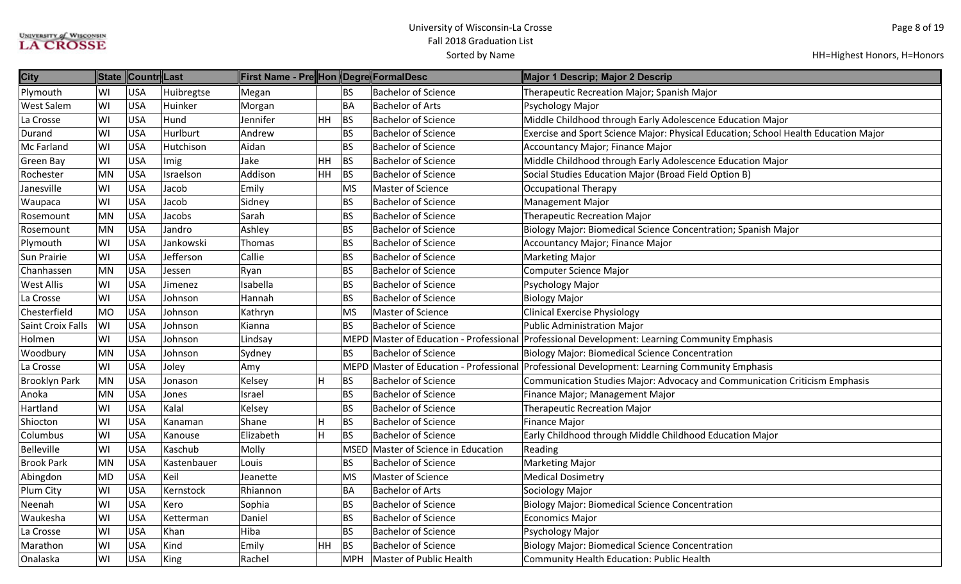| <b>City</b>              |           | State Countr Last |             | ∥First Name - Pre∥Hon ∥Degre∥FormalDesc |     |           |                                         | Major 1 Descrip; Major 2 Descrip                                                    |
|--------------------------|-----------|-------------------|-------------|-----------------------------------------|-----|-----------|-----------------------------------------|-------------------------------------------------------------------------------------|
| Plymouth                 | WI        | <b>USA</b>        | Huibregtse  | Megan                                   |     | BS        | <b>Bachelor of Science</b>              | Therapeutic Recreation Major; Spanish Major                                         |
| <b>West Salem</b>        | WI        | USA               | Huinker     | Morgan                                  |     | BA        | <b>Bachelor of Arts</b>                 | Psychology Major                                                                    |
| La Crosse                | WI        | USA               | Hund        | Jennifer                                | HH. | <b>BS</b> | <b>Bachelor of Science</b>              | Middle Childhood through Early Adolescence Education Major                          |
| Durand                   | WI        | <b>USA</b>        | Hurlburt    | Andrew                                  |     | <b>BS</b> | <b>Bachelor of Science</b>              | Exercise and Sport Science Major: Physical Education; School Health Education Major |
| <b>Mc Farland</b>        | WI        | <b>USA</b>        | Hutchison   | Aidan                                   |     | <b>BS</b> | <b>Bachelor of Science</b>              | Accountancy Major; Finance Major                                                    |
| Green Bay                | WI        | <b>USA</b>        | Imig        | Jake                                    | HH  | <b>BS</b> | <b>Bachelor of Science</b>              | Middle Childhood through Early Adolescence Education Major                          |
| Rochester                | MN        | <b>USA</b>        | Israelson   | Addison                                 | HH  | <b>BS</b> | <b>Bachelor of Science</b>              | Social Studies Education Major (Broad Field Option B)                               |
| Janesville               | WI        | <b>USA</b>        | Jacob       | Emily                                   |     | MS        | <b>Master of Science</b>                | <b>Occupational Therapy</b>                                                         |
| Waupaca                  | WI        | <b>USA</b>        | Jacob       | Sidney                                  |     | <b>BS</b> | <b>Bachelor of Science</b>              | <b>Management Major</b>                                                             |
| Rosemount                | MN        | USA               | Jacobs      | Sarah                                   |     | <b>BS</b> | <b>Bachelor of Science</b>              | <b>Therapeutic Recreation Major</b>                                                 |
| Rosemount                | MN        | <b>USA</b>        | Jandro      | Ashley                                  |     | BS        | <b>Bachelor of Science</b>              | Biology Major: Biomedical Science Concentration; Spanish Major                      |
| Plymouth                 | WI        | <b>USA</b>        | Jankowski   | Thomas                                  |     | <b>BS</b> | <b>Bachelor of Science</b>              | Accountancy Major; Finance Major                                                    |
| <b>Sun Prairie</b>       | WI        | <b>USA</b>        | Jefferson   | Callie                                  |     | <b>BS</b> | <b>Bachelor of Science</b>              | <b>Marketing Major</b>                                                              |
| Chanhassen               | MN        | <b>USA</b>        | Jessen      | Ryan                                    |     | <b>BS</b> | <b>Bachelor of Science</b>              | <b>Computer Science Major</b>                                                       |
| <b>West Allis</b>        | WI        | <b>USA</b>        | Jimenez     | Isabella                                |     | <b>BS</b> | <b>Bachelor of Science</b>              | Psychology Major                                                                    |
| La Crosse                | WI        | <b>USA</b>        | Johnson     | Hannah                                  |     | <b>BS</b> | <b>Bachelor of Science</b>              | <b>Biology Major</b>                                                                |
| Chesterfield             | <b>MO</b> | <b>USA</b>        | Johnson     | Kathryn                                 |     | MS        | Master of Science                       | <b>Clinical Exercise Physiology</b>                                                 |
| <b>Saint Croix Falls</b> | WI        | USA               | Johnson     | Kianna                                  |     | <b>BS</b> | <b>Bachelor of Science</b>              | <b>Public Administration Major</b>                                                  |
| Holmen                   | WI        | <b>USA</b>        | Johnson     | Lindsay                                 |     |           | MEPD Master of Education - Professional | Professional Development: Learning Community Emphasis                               |
| Woodbury                 | MN        | <b>USA</b>        | Johnson     | Sydney                                  |     | <b>BS</b> | <b>Bachelor of Science</b>              | <b>Biology Major: Biomedical Science Concentration</b>                              |
| La Crosse                | WI        | <b>USA</b>        | Joley       | Amy                                     |     |           | MEPD Master of Education - Professional | Professional Development: Learning Community Emphasis                               |
| <b>Brooklyn Park</b>     | MN        | <b>USA</b>        | Jonason     | Kelsey                                  | lH. | BS        | <b>Bachelor of Science</b>              | Communication Studies Major: Advocacy and Communication Criticism Emphasis          |
| Anoka                    | MN        | <b>USA</b>        | Jones       | Israel                                  |     | <b>BS</b> | <b>Bachelor of Science</b>              | Finance Major; Management Major                                                     |
| Hartland                 | WI        | <b>USA</b>        | Kalal       | Kelsey                                  |     | <b>BS</b> | <b>Bachelor of Science</b>              | <b>Therapeutic Recreation Major</b>                                                 |
| Shiocton                 | WI        | <b>USA</b>        | Kanaman     | Shane                                   | H   | <b>BS</b> | <b>Bachelor of Science</b>              | <b>Finance Major</b>                                                                |
| Columbus                 | WI        | <b>USA</b>        | Kanouse     | Elizabeth                               | H   | BS        | <b>Bachelor of Science</b>              | Early Childhood through Middle Childhood Education Major                            |
| Belleville               | WI        | <b>USA</b>        | Kaschub     | Molly                                   |     |           | MSED Master of Science in Education     | Reading                                                                             |
| <b>Brook Park</b>        | MN        | <b>USA</b>        | Kastenbauer | Louis                                   |     | <b>BS</b> | <b>Bachelor of Science</b>              | <b>Marketing Major</b>                                                              |
| Abingdon                 | <b>MD</b> | <b>USA</b>        | Keil        | Jeanette                                |     | MS        | Master of Science                       | <b>Medical Dosimetry</b>                                                            |
| Plum City                | WI        | <b>USA</b>        | Kernstock   | Rhiannon                                |     | <b>BA</b> | <b>Bachelor of Arts</b>                 | Sociology Major                                                                     |
| Neenah                   | WI        | <b>USA</b>        | Kero        | Sophia                                  |     | <b>BS</b> | <b>Bachelor of Science</b>              | <b>Biology Major: Biomedical Science Concentration</b>                              |
| Waukesha                 | WI        | <b>USA</b>        | Ketterman   | Daniel                                  |     | <b>BS</b> | <b>Bachelor of Science</b>              | <b>Economics Major</b>                                                              |
| La Crosse                | WI        | <b>USA</b>        | Khan        | Hiba                                    |     | <b>BS</b> | <b>Bachelor of Science</b>              | Psychology Major                                                                    |
| Marathon                 | WI        | USA               | Kind        | Emily                                   | HH. | <b>BS</b> | <b>Bachelor of Science</b>              | <b>Biology Major: Biomedical Science Concentration</b>                              |
| Onalaska                 | WI        | USA               | King        | Rachel                                  |     | MPH       | Master of Public Health                 | Community Health Education: Public Health                                           |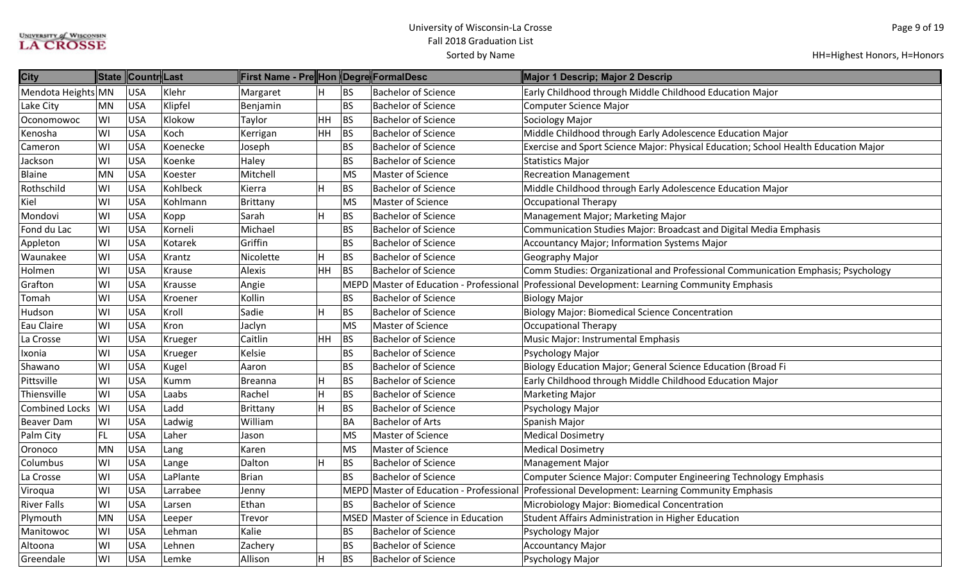| <b>City</b>           |           | State Countr Last |          | ∥First Name - Pre∥Hon ∥Degre∥FormalDesc |                |             |                                         | Major 1 Descrip; Major 2 Descrip                                                    |
|-----------------------|-----------|-------------------|----------|-----------------------------------------|----------------|-------------|-----------------------------------------|-------------------------------------------------------------------------------------|
| Mendota Heights MN    |           | <b>USA</b>        | Klehr    | Margaret                                | H              | <b>BS</b>   | <b>Bachelor of Science</b>              | Early Childhood through Middle Childhood Education Major                            |
| Lake City             | <b>MN</b> | <b>USA</b>        | Klipfel  | Benjamin                                |                | <b>BS</b>   | <b>Bachelor of Science</b>              | Computer Science Major                                                              |
| Oconomowoc            | WI        | <b>USA</b>        | Klokow   | Taylor                                  | HH             | BS          | <b>Bachelor of Science</b>              | Sociology Major                                                                     |
| Kenosha               | WI        | <b>USA</b>        | Koch     | Kerrigan                                | HH             | <b>BS</b>   | <b>Bachelor of Science</b>              | Middle Childhood through Early Adolescence Education Major                          |
| Cameron               | WI        | <b>USA</b>        | Koenecke | Joseph                                  |                | BS          | <b>Bachelor of Science</b>              | Exercise and Sport Science Major: Physical Education; School Health Education Major |
| Jackson               | WI        | <b>USA</b>        | Koenke   | Haley                                   |                | <b>BS</b>   | <b>Bachelor of Science</b>              | <b>Statistics Major</b>                                                             |
| <b>Blaine</b>         | <b>MN</b> | <b>USA</b>        | Koester  | Mitchell                                |                | MS          | <b>Master of Science</b>                | <b>Recreation Management</b>                                                        |
| Rothschild            | WI        | <b>USA</b>        | Kohlbeck | Kierra                                  | H              | <b>BS</b>   | <b>Bachelor of Science</b>              | Middle Childhood through Early Adolescence Education Major                          |
| Kiel                  | WI        | <b>USA</b>        | Kohlmann | Brittany                                |                | MS          | Master of Science                       | <b>Occupational Therapy</b>                                                         |
| Mondovi               | WI        | <b>USA</b>        | Kopp     | Sarah                                   | $\overline{H}$ | <b>BS</b>   | <b>Bachelor of Science</b>              | Management Major; Marketing Major                                                   |
| Fond du Lac           | WI        | <b>USA</b>        | Korneli  | Michael                                 |                | BS          | <b>Bachelor of Science</b>              | Communication Studies Major: Broadcast and Digital Media Emphasis                   |
| Appleton              | WI        | <b>USA</b>        | Kotarek  | Griffin                                 |                | <b>BS</b>   | <b>Bachelor of Science</b>              | Accountancy Major; Information Systems Major                                        |
| Waunakee              | WI        | <b>USA</b>        | Krantz   | Nicolette                               | H              | <b>BS</b>   | <b>Bachelor of Science</b>              | Geography Major                                                                     |
| Holmen                | WI        | <b>USA</b>        | Krause   | Alexis                                  | HH             | <b>BS</b>   | <b>Bachelor of Science</b>              | Comm Studies: Organizational and Professional Communication Emphasis; Psychology    |
| Grafton               | WI        | <b>USA</b>        | Krausse  | Angie                                   |                | <b>MEPD</b> | Master of Education - Professional      | Professional Development: Learning Community Emphasis                               |
| Tomah                 | WI        | <b>USA</b>        | Kroener  | Kollin                                  |                | <b>BS</b>   | <b>Bachelor of Science</b>              | <b>Biology Major</b>                                                                |
| Hudson                | WI        | <b>USA</b>        | Kroll    | Sadie                                   | H              | <b>BS</b>   | <b>Bachelor of Science</b>              | <b>Biology Major: Biomedical Science Concentration</b>                              |
| Eau Claire            | WI        | <b>USA</b>        | Kron     | Jaclyn                                  |                | <b>MS</b>   | <b>Master of Science</b>                | <b>Occupational Therapy</b>                                                         |
| La Crosse             | WI        | <b>USA</b>        | Krueger  | Caitlin                                 | HH             | <b>BS</b>   | <b>Bachelor of Science</b>              | Music Major: Instrumental Emphasis                                                  |
| Ixonia                | WI        | <b>USA</b>        | Krueger  | Kelsie                                  |                | <b>BS</b>   | <b>Bachelor of Science</b>              | Psychology Major                                                                    |
| Shawano               | WI        | <b>USA</b>        | Kugel    | Aaron                                   |                | <b>BS</b>   | <b>Bachelor of Science</b>              | Biology Education Major; General Science Education (Broad Fi                        |
| Pittsville            | WI        | <b>USA</b>        | Kumm     | <b>Breanna</b>                          | H              | <b>BS</b>   | <b>Bachelor of Science</b>              | Early Childhood through Middle Childhood Education Major                            |
| Thiensville           | WI        | <b>USA</b>        | Laabs    | Rachel                                  | $\overline{H}$ | <b>BS</b>   | <b>Bachelor of Science</b>              | <b>Marketing Major</b>                                                              |
| <b>Combined Locks</b> | WI        | <b>USA</b>        | Ladd     | Brittany                                | $\mathsf{H}$   | <b>BS</b>   | <b>Bachelor of Science</b>              | Psychology Major                                                                    |
| <b>Beaver Dam</b>     | WI        | <b>USA</b>        | Ladwig   | William                                 |                | BA          | <b>Bachelor of Arts</b>                 | Spanish Major                                                                       |
| Palm City             | FL        | <b>USA</b>        | Laher    | Jason                                   |                | MS          | <b>Master of Science</b>                | <b>Medical Dosimetry</b>                                                            |
| Oronoco               | <b>MN</b> | <b>USA</b>        | Lang     | Karen                                   |                | MS          | <b>Master of Science</b>                | <b>Medical Dosimetry</b>                                                            |
| Columbus              | WI        | <b>USA</b>        | Lange    | Dalton                                  | ΙH             | <b>BS</b>   | <b>Bachelor of Science</b>              | <b>Management Major</b>                                                             |
| La Crosse             | WI        | <b>USA</b>        | LaPlante | Brian                                   |                | <b>BS</b>   | <b>Bachelor of Science</b>              | Computer Science Major: Computer Engineering Technology Emphasis                    |
| Viroqua               | WI        | <b>USA</b>        | Larrabee | Jenny                                   |                |             | MEPD Master of Education - Professional | Professional Development: Learning Community Emphasis                               |
| <b>River Falls</b>    | WI        | <b>USA</b>        | Larsen   | Ethan                                   |                | <b>BS</b>   | <b>Bachelor of Science</b>              | Microbiology Major: Biomedical Concentration                                        |
| Plymouth              | <b>MN</b> | <b>USA</b>        | Leeper   | Trevor                                  |                |             | MSED Master of Science in Education     | <b>Student Affairs Administration in Higher Education</b>                           |
| Manitowoc             | WI        | <b>USA</b>        | Lehman   | Kalie                                   |                | <b>BS</b>   | <b>Bachelor of Science</b>              | Psychology Major                                                                    |
| Altoona               | WI        | <b>USA</b>        | Lehnen   | Zachery                                 |                | BS          | <b>Bachelor of Science</b>              | <b>Accountancy Major</b>                                                            |
| Greendale             | WI        | <b>USA</b>        | Lemke    | Allison                                 | $\mathsf{H}$   | <b>BS</b>   | <b>Bachelor of Science</b>              | Psychology Major                                                                    |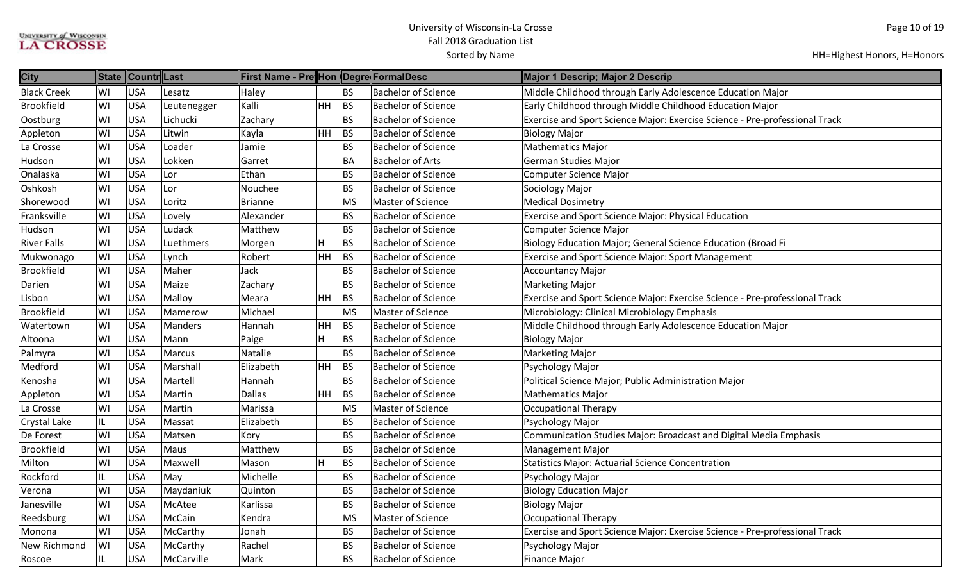| <b>City</b>        | <b>State</b> | ∥Countr∥Last |             | First Name - Pre Hon Degre FormalDesc |                |           |                            | Major 1 Descrip; Major 2 Descrip                                            |
|--------------------|--------------|--------------|-------------|---------------------------------------|----------------|-----------|----------------------------|-----------------------------------------------------------------------------|
| <b>Black Creek</b> | WI           | <b>USA</b>   | Lesatz      | Haley                                 |                | BS        | <b>Bachelor of Science</b> | Middle Childhood through Early Adolescence Education Major                  |
| <b>Brookfield</b>  | WI           | <b>USA</b>   | Leutenegger | Kalli                                 | $HH$ BS        |           | <b>Bachelor of Science</b> | Early Childhood through Middle Childhood Education Major                    |
| Oostburg           | WI           | <b>USA</b>   | Lichucki    | Zachary                               |                | BS        | <b>Bachelor of Science</b> | Exercise and Sport Science Major: Exercise Science - Pre-professional Track |
| Appleton           | WI           | <b>USA</b>   | Litwin      | Kayla                                 | <b>HH</b>      | BS        | <b>Bachelor of Science</b> | <b>Biology Major</b>                                                        |
| La Crosse          | WI           | <b>USA</b>   | Loader      | Jamie                                 |                | <b>BS</b> | <b>Bachelor of Science</b> | <b>Mathematics Major</b>                                                    |
| Hudson             | WI           | <b>USA</b>   | Lokken      | Garret                                |                | <b>BA</b> | <b>Bachelor of Arts</b>    | <b>German Studies Major</b>                                                 |
| Onalaska           | WI           | <b>USA</b>   | Lor         | Ethan                                 |                | <b>BS</b> | <b>Bachelor of Science</b> | <b>Computer Science Major</b>                                               |
| Oshkosh            | WI           | <b>USA</b>   | Lor         | Nouchee                               |                | <b>BS</b> | <b>Bachelor of Science</b> | Sociology Major                                                             |
| Shorewood          | WI           | <b>USA</b>   | Loritz      | Brianne                               |                | MS        | <b>Master of Science</b>   | <b>Medical Dosimetry</b>                                                    |
| Franksville        | WI           | <b>USA</b>   | Lovely      | Alexander                             |                | <b>BS</b> | <b>Bachelor of Science</b> | Exercise and Sport Science Major: Physical Education                        |
| Hudson             | WI           | <b>USA</b>   | Ludack      | Matthew                               |                | <b>BS</b> | <b>Bachelor of Science</b> | <b>Computer Science Major</b>                                               |
| <b>River Falls</b> | WI           | <b>USA</b>   | Luethmers   | Morgen                                | н              | BS        | <b>Bachelor of Science</b> | Biology Education Major; General Science Education (Broad Fi                |
| Mukwonago          | WI           | <b>USA</b>   | Lynch       | Robert                                | HH             | BS        | <b>Bachelor of Science</b> | Exercise and Sport Science Major: Sport Management                          |
| <b>Brookfield</b>  | WI           | <b>USA</b>   | Maher       | Jack                                  |                | <b>BS</b> | <b>Bachelor of Science</b> | <b>Accountancy Major</b>                                                    |
| Darien             | WI           | <b>USA</b>   | Maize       | Zachary                               |                | <b>BS</b> | <b>Bachelor of Science</b> | <b>Marketing Major</b>                                                      |
| Lisbon             | WI           | <b>USA</b>   | Malloy      | Meara                                 | HH             | BS        | <b>Bachelor of Science</b> | Exercise and Sport Science Major: Exercise Science - Pre-professional Track |
| <b>Brookfield</b>  | WI           | <b>USA</b>   | Mamerow     | Michael                               |                | <b>MS</b> | Master of Science          | Microbiology: Clinical Microbiology Emphasis                                |
| Watertown          | WI           | <b>USA</b>   | Manders     | Hannah                                | HH             | BS        | <b>Bachelor of Science</b> | Middle Childhood through Early Adolescence Education Major                  |
| Altoona            | WI           | <b>USA</b>   | Mann        | Paige                                 | H              | BS        | <b>Bachelor of Science</b> | <b>Biology Major</b>                                                        |
| Palmyra            | WI           | <b>USA</b>   | Marcus      | Natalie                               |                | <b>BS</b> | <b>Bachelor of Science</b> | <b>Marketing Major</b>                                                      |
| Medford            | WI           | <b>USA</b>   | Marshall    | Elizabeth                             | HH             | <b>BS</b> | <b>Bachelor of Science</b> | Psychology Major                                                            |
| Kenosha            | WI           | <b>USA</b>   | Martell     | Hannah                                |                | <b>BS</b> | <b>Bachelor of Science</b> | Political Science Major; Public Administration Major                        |
| Appleton           | WI           | <b>USA</b>   | Martin      | Dallas                                | <b>HH</b>      | <b>BS</b> | <b>Bachelor of Science</b> | <b>Mathematics Major</b>                                                    |
| La Crosse          | WI           | <b>USA</b>   | Martin      | Marissa                               |                | MS        | <b>Master of Science</b>   | Occupational Therapy                                                        |
| Crystal Lake       | IL           | <b>USA</b>   | Massat      | Elizabeth                             |                | BS        | <b>Bachelor of Science</b> | Psychology Major                                                            |
| De Forest          | WI           | <b>USA</b>   | Matsen      | Kory                                  |                | <b>BS</b> | <b>Bachelor of Science</b> | Communication Studies Major: Broadcast and Digital Media Emphasis           |
| <b>Brookfield</b>  | WI           | <b>USA</b>   | Maus        | Matthew                               |                | <b>BS</b> | <b>Bachelor of Science</b> | <b>Management Major</b>                                                     |
| Milton             | WI           | <b>USA</b>   | Maxwell     | Mason                                 | $\overline{H}$ | BS        | <b>Bachelor of Science</b> | <b>Statistics Major: Actuarial Science Concentration</b>                    |
| Rockford           | IL           | <b>USA</b>   | May         | Michelle                              |                | <b>BS</b> | <b>Bachelor of Science</b> | Psychology Major                                                            |
| Verona             | WI           | <b>USA</b>   | Maydaniuk   | Quinton                               |                | <b>BS</b> | <b>Bachelor of Science</b> | <b>Biology Education Major</b>                                              |
| Janesville         | WI           | <b>USA</b>   | McAtee      | Karlissa                              |                | <b>BS</b> | <b>Bachelor of Science</b> | <b>Biology Major</b>                                                        |
| Reedsburg          | WI           | <b>USA</b>   | McCain      | Kendra                                |                | <b>MS</b> | <b>Master of Science</b>   | <b>Occupational Therapy</b>                                                 |
| Monona             | WI           | <b>USA</b>   | McCarthy    | Jonah                                 |                | <b>BS</b> | <b>Bachelor of Science</b> | Exercise and Sport Science Major: Exercise Science - Pre-professional Track |
| New Richmond       | WI           | <b>USA</b>   | McCarthy    | Rachel                                |                | <b>BS</b> | <b>Bachelor of Science</b> | Psychology Major                                                            |
| Roscoe             | IL           | <b>USA</b>   | McCarville  | Mark                                  |                | <b>BS</b> | <b>Bachelor of Science</b> | Finance Major                                                               |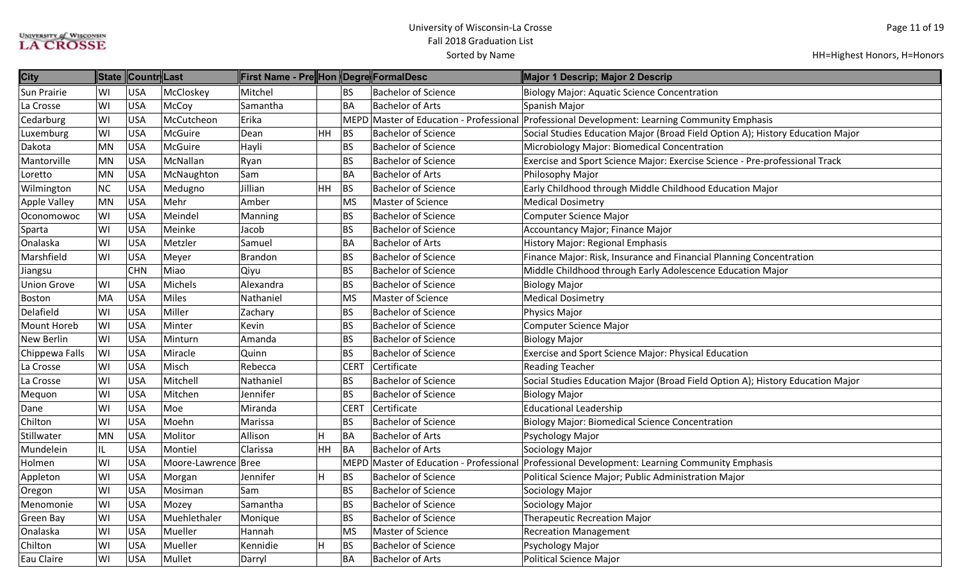| <b>City</b>              | <b>State</b> | ∥Countr∥Last |                     | <b>First Name - Pre</b> Hon Degre FormalDesc |    |             |                            | Major 1 Descrip; Major 2 Descrip                                                              |
|--------------------------|--------------|--------------|---------------------|----------------------------------------------|----|-------------|----------------------------|-----------------------------------------------------------------------------------------------|
| WI<br><b>Sun Prairie</b> |              | <b>USA</b>   | McCloskey           | Mitchel                                      |    | BS          | <b>Bachelor of Science</b> | <b>Biology Major: Aquatic Science Concentration</b>                                           |
| La Crosse<br>WI          |              | <b>USA</b>   | McCoy               | Samantha                                     |    | <b>BA</b>   | <b>Bachelor of Arts</b>    | Spanish Major                                                                                 |
| Cedarburg<br>WI          |              | <b>USA</b>   | McCutcheon          | Erika                                        |    | <b>MEPD</b> |                            | Master of Education - Professional Professional Development: Learning Community Emphasis      |
| WI<br>Luxemburg          |              | <b>USA</b>   | McGuire             | Dean                                         | HH | BS          | <b>Bachelor of Science</b> | Social Studies Education Major (Broad Field Option A); History Education Major                |
| MN<br>Dakota             |              | <b>USA</b>   | McGuire             | Hayli                                        |    | <b>BS</b>   | <b>Bachelor of Science</b> | Microbiology Major: Biomedical Concentration                                                  |
| MN<br>Mantorville        |              | <b>USA</b>   | McNallan            | Ryan                                         |    | <b>BS</b>   | <b>Bachelor of Science</b> | Exercise and Sport Science Major: Exercise Science - Pre-professional Track                   |
| MN<br>Loretto            |              | <b>USA</b>   | McNaughton          | Sam                                          |    | <b>BA</b>   | <b>Bachelor of Arts</b>    | Philosophy Major                                                                              |
| <b>NC</b><br>Wilmington  |              | <b>USA</b>   | Medugno             | Jillian                                      | HH | BS          | <b>Bachelor of Science</b> | Early Childhood through Middle Childhood Education Major                                      |
| MN<br>Apple Valley       |              | <b>USA</b>   | Mehr                | Amber                                        |    | MS          | Master of Science          | <b>Medical Dosimetry</b>                                                                      |
| WI<br>Oconomowoc         |              | <b>USA</b>   | Meindel             | Manning                                      |    | <b>BS</b>   | <b>Bachelor of Science</b> | <b>Computer Science Major</b>                                                                 |
| WI<br>Sparta             |              | <b>USA</b>   | Meinke              | Jacob                                        |    | <b>BS</b>   | <b>Bachelor of Science</b> | Accountancy Major; Finance Major                                                              |
| Onalaska<br>WI           |              | <b>USA</b>   | Metzler             | Samuel                                       |    | <b>BA</b>   | <b>Bachelor of Arts</b>    | <b>History Major: Regional Emphasis</b>                                                       |
| Marshfield<br>WI         |              | <b>USA</b>   | Meyer               | Brandon                                      |    | <b>BS</b>   | <b>Bachelor of Science</b> | Finance Major: Risk, Insurance and Financial Planning Concentration                           |
| Jiangsu                  |              | <b>CHN</b>   | Miao                | Qiyu                                         |    | <b>BS</b>   | <b>Bachelor of Science</b> | Middle Childhood through Early Adolescence Education Major                                    |
| <b>Union Grove</b><br>WI |              | <b>USA</b>   | Michels             | Alexandra                                    |    | <b>BS</b>   | <b>Bachelor of Science</b> | <b>Biology Major</b>                                                                          |
| MA<br><b>Boston</b>      |              | <b>USA</b>   | <b>Miles</b>        | Nathaniel                                    |    | MS          | <b>Master of Science</b>   | <b>Medical Dosimetry</b>                                                                      |
| Delafield<br>WI          |              | <b>USA</b>   | Miller              | Zachary                                      |    | <b>BS</b>   | <b>Bachelor of Science</b> | Physics Major                                                                                 |
| WI<br><b>Mount Horeb</b> |              | <b>USA</b>   | Minter              | Kevin                                        |    | <b>BS</b>   | <b>Bachelor of Science</b> | Computer Science Major                                                                        |
| <b>New Berlin</b><br>WI  |              | <b>USA</b>   | Minturn             | Amanda                                       |    | <b>BS</b>   | <b>Bachelor of Science</b> | <b>Biology Major</b>                                                                          |
| WI<br>Chippewa Falls     |              | <b>USA</b>   | Miracle             | Quinn                                        |    | <b>BS</b>   | <b>Bachelor of Science</b> | Exercise and Sport Science Major: Physical Education                                          |
| WI<br>La Crosse          |              | <b>USA</b>   | Misch               | Rebecca                                      |    | <b>CERT</b> | Certificate                | <b>Reading Teacher</b>                                                                        |
| WI<br>La Crosse          |              | <b>USA</b>   | Mitchell            | Nathaniel                                    |    | <b>BS</b>   | <b>Bachelor of Science</b> | Social Studies Education Major (Broad Field Option A); History Education Major                |
| WI<br>Mequon             |              | <b>USA</b>   | Mitchen             | Jennifer                                     |    | <b>BS</b>   | <b>Bachelor of Science</b> | <b>Biology Major</b>                                                                          |
| WI<br>Dane               |              | <b>USA</b>   | Moe                 | Miranda                                      |    | <b>CERT</b> | Certificate                | <b>Educational Leadership</b>                                                                 |
| WI<br>Chilton            |              | <b>USA</b>   | Moehn               | Marissa                                      |    | <b>BS</b>   | <b>Bachelor of Science</b> | <b>Biology Major: Biomedical Science Concentration</b>                                        |
| MN<br>Stillwater         |              | USA          | Molitor             | Allison                                      | H  | BA          | <b>Bachelor of Arts</b>    | Psychology Major                                                                              |
| Mundelein<br>IL          |              | <b>USA</b>   | Montiel             | Clarissa                                     | HH | BA          | <b>Bachelor of Arts</b>    | Sociology Major                                                                               |
| WI<br>Holmen             |              | <b>USA</b>   | Moore-Lawrence Bree |                                              |    |             |                            | MEPD Master of Education - Professional Professional Development: Learning Community Emphasis |
| WI<br>Appleton           |              | <b>USA</b>   | Morgan              | Jennifer                                     | H  | <b>BS</b>   | <b>Bachelor of Science</b> | Political Science Major; Public Administration Major                                          |
| WI<br>Oregon             |              | <b>USA</b>   | Mosiman             | Sam                                          |    | <b>BS</b>   | <b>Bachelor of Science</b> | Sociology Major                                                                               |
| WI<br>Menomonie          |              | <b>USA</b>   | Mozey               | Samantha                                     |    | <b>BS</b>   | <b>Bachelor of Science</b> | Sociology Major                                                                               |
| WI<br><b>Green Bay</b>   |              | <b>USA</b>   | Muehlethaler        | Monique                                      |    | <b>BS</b>   | <b>Bachelor of Science</b> | <b>Therapeutic Recreation Major</b>                                                           |
| WI<br>Onalaska           |              | <b>USA</b>   | Mueller             | Hannah                                       |    | MS          | <b>Master of Science</b>   | <b>Recreation Management</b>                                                                  |
| WI<br>Chilton            |              | <b>USA</b>   | Mueller             | Kennidie                                     | н  | <b>BS</b>   | <b>Bachelor of Science</b> | Psychology Major                                                                              |
| WI<br>Eau Claire         |              | USA          | Mullet              | Darryl                                       |    | <b>BA</b>   | <b>Bachelor of Arts</b>    | Political Science Major                                                                       |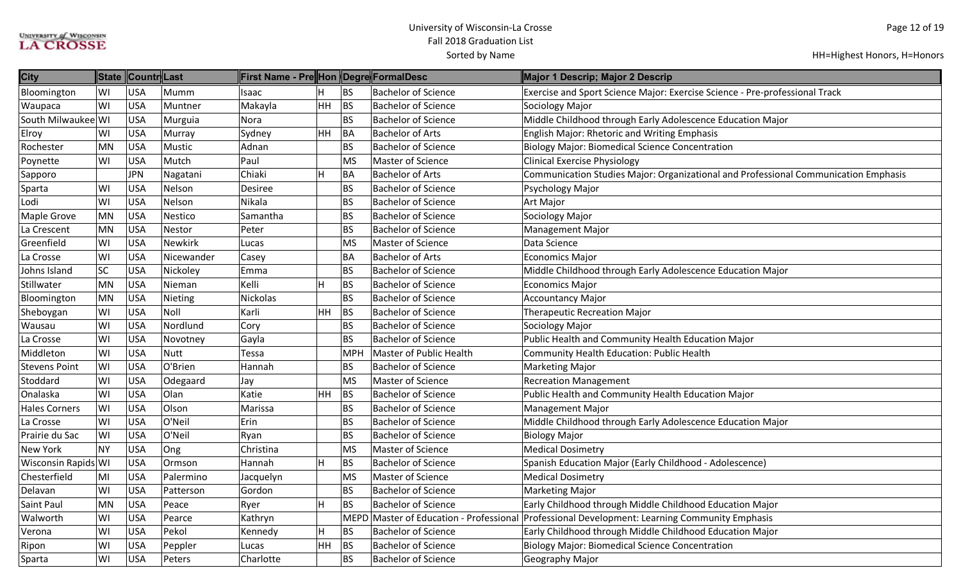| <b>City</b>          |           | State Countr Last |             | <b>First Name - Pre</b>   Hon   Degre  FormalDesc |    |             |                                    | Major 1 Descrip; Major 2 Descrip                                                    |
|----------------------|-----------|-------------------|-------------|---------------------------------------------------|----|-------------|------------------------------------|-------------------------------------------------------------------------------------|
| Bloomington          | WI        | <b>USA</b>        | Mumm        | Isaac                                             |    | <b>BS</b>   | <b>Bachelor of Science</b>         | Exercise and Sport Science Major: Exercise Science - Pre-professional Track         |
| Waupaca              | WI        | <b>USA</b>        | Muntner     | Makayla                                           | HH | BS          | <b>Bachelor of Science</b>         | Sociology Major                                                                     |
| South Milwaukee WI   |           | <b>USA</b>        | Murguia     | Nora                                              |    | <b>BS</b>   | <b>Bachelor of Science</b>         | Middle Childhood through Early Adolescence Education Major                          |
| Elroy                | WI        | <b>USA</b>        | Murray      | Sydney                                            | HH | <b>BA</b>   | <b>Bachelor of Arts</b>            | <b>English Major: Rhetoric and Writing Emphasis</b>                                 |
| Rochester            | MN        | <b>USA</b>        | Mustic      | Adnan                                             |    | <b>BS</b>   | <b>Bachelor of Science</b>         | <b>Biology Major: Biomedical Science Concentration</b>                              |
| Poynette             | WI        | <b>USA</b>        | Mutch       | Paul                                              |    | <b>MS</b>   | <b>Master of Science</b>           | <b>Clinical Exercise Physiology</b>                                                 |
| Sapporo              |           | <b>JPN</b>        | Nagatani    | Chiaki                                            | H  | BA          | <b>Bachelor of Arts</b>            | Communication Studies Major: Organizational and Professional Communication Emphasis |
| Sparta               | WI        | <b>USA</b>        | Nelson      | <b>Desiree</b>                                    |    | <b>BS</b>   | <b>Bachelor of Science</b>         | Psychology Major                                                                    |
| Lodi                 | WI        | <b>USA</b>        | Nelson      | Nikala                                            |    | <b>BS</b>   | <b>Bachelor of Science</b>         | <b>Art Major</b>                                                                    |
| <b>Maple Grove</b>   | MN        | <b>USA</b>        | Nestico     | Samantha                                          |    | <b>BS</b>   | <b>Bachelor of Science</b>         | Sociology Major                                                                     |
| La Crescent          | MN        | <b>USA</b>        | Nestor      | Peter                                             |    | <b>BS</b>   | <b>Bachelor of Science</b>         | Management Major                                                                    |
| Greenfield           | WI        | <b>USA</b>        | Newkirk     | Lucas                                             |    | <b>MS</b>   | <b>Master of Science</b>           | Data Science                                                                        |
| La Crosse            | WI        | <b>USA</b>        | Nicewander  | Casey                                             |    | <b>BA</b>   | <b>Bachelor of Arts</b>            | <b>Economics Major</b>                                                              |
| Johns Island         | <b>SC</b> | <b>USA</b>        | Nickoley    | Emma                                              |    | <b>BS</b>   | <b>Bachelor of Science</b>         | Middle Childhood through Early Adolescence Education Major                          |
| Stillwater           | MN        | USA               | Nieman      | Kelli                                             |    | <b>BS</b>   | <b>Bachelor of Science</b>         | <b>Economics Major</b>                                                              |
| Bloomington          | MN        | <b>USA</b>        | Nieting     | Nickolas                                          |    | <b>BS</b>   | <b>Bachelor of Science</b>         | <b>Accountancy Major</b>                                                            |
| Sheboygan            | WI        | <b>USA</b>        | Noll        | Karli                                             | HH | <b>BS</b>   | <b>Bachelor of Science</b>         | <b>Therapeutic Recreation Major</b>                                                 |
| Wausau               | WI        | <b>USA</b>        | Nordlund    | Cory                                              |    | BS          | <b>Bachelor of Science</b>         | Sociology Major                                                                     |
| La Crosse            | WI        | <b>USA</b>        | Novotney    | Gayla                                             |    | <b>BS</b>   | <b>Bachelor of Science</b>         | Public Health and Community Health Education Major                                  |
| Middleton            | WI        | <b>USA</b>        | <b>Nutt</b> | Tessa                                             |    | <b>MPH</b>  | Master of Public Health            | Community Health Education: Public Health                                           |
| <b>Stevens Point</b> | WI        | <b>USA</b>        | O'Brien     | Hannah                                            |    | <b>BS</b>   | <b>Bachelor of Science</b>         | <b>Marketing Major</b>                                                              |
| Stoddard             | WI        | <b>USA</b>        | Odegaard    | Jay                                               |    | <b>MS</b>   | <b>Master of Science</b>           | <b>Recreation Management</b>                                                        |
| Onalaska             | WI        | <b>USA</b>        | Olan        | Katie                                             | HH | <b>BS</b>   | <b>Bachelor of Science</b>         | Public Health and Community Health Education Major                                  |
| <b>Hales Corners</b> | WI        | USA               | Olson       | Marissa                                           |    | <b>BS</b>   | <b>Bachelor of Science</b>         | <b>Management Major</b>                                                             |
| La Crosse            | WI        | USA               | O'Neil      | Erin                                              |    | <b>BS</b>   | <b>Bachelor of Science</b>         | Middle Childhood through Early Adolescence Education Major                          |
| Prairie du Sac       | WI        | <b>USA</b>        | O'Neil      | Ryan                                              |    | <b>BS</b>   | <b>Bachelor of Science</b>         | <b>Biology Major</b>                                                                |
| <b>New York</b>      | <b>NY</b> | USA               | Ong         | Christina                                         |    | <b>MS</b>   | <b>Master of Science</b>           | <b>Medical Dosimetry</b>                                                            |
| Wisconsin Rapids WI  |           | <b>USA</b>        | Ormson      | Hannah                                            |    | <b>BS</b>   | <b>Bachelor of Science</b>         | Spanish Education Major (Early Childhood - Adolescence)                             |
| Chesterfield         | MI        | <b>USA</b>        | Palermino   | Jacquelyn                                         |    | <b>MS</b>   | Master of Science                  | <b>Medical Dosimetry</b>                                                            |
| Delavan              | WI        | <b>USA</b>        | Patterson   | Gordon                                            |    | <b>BS</b>   | <b>Bachelor of Science</b>         | <b>Marketing Major</b>                                                              |
| Saint Paul           | <b>MN</b> | USA               | Peace       | Ryer                                              | н  | <b>BS</b>   | <b>Bachelor of Science</b>         | Early Childhood through Middle Childhood Education Major                            |
| Walworth             | WI        | <b>USA</b>        | Pearce      | Kathryn                                           |    | <b>MEPD</b> | Master of Education - Professional | Professional Development: Learning Community Emphasis                               |
| Verona               | WI        | <b>USA</b>        | Pekol       | Kennedy                                           | н  | <b>BS</b>   | <b>Bachelor of Science</b>         | Early Childhood through Middle Childhood Education Major                            |
| Ripon                | WI        | <b>USA</b>        | Peppler     | Lucas                                             | HH | <b>BS</b>   | <b>Bachelor of Science</b>         | <b>Biology Major: Biomedical Science Concentration</b>                              |
| Sparta               | WI        | <b>USA</b>        | Peters      | Charlotte                                         |    | <b>BS</b>   | <b>Bachelor of Science</b>         | Geography Major                                                                     |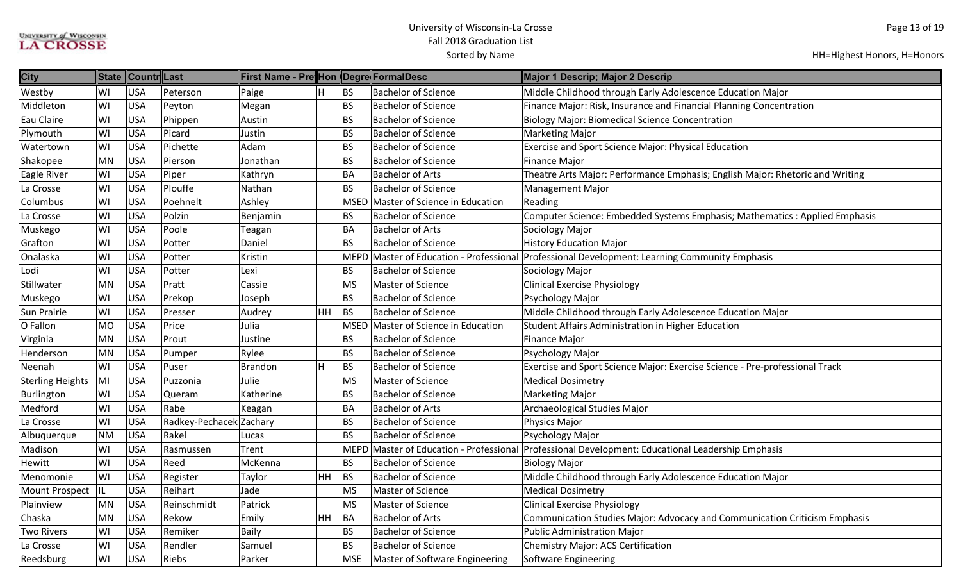| <b>City</b>             | <b>State</b> | Countr Last |                         | First Name - Pre Hon Degre FormalDesc |           |             |                                | Major 1 Descrip; Major 2 Descrip                                                                  |
|-------------------------|--------------|-------------|-------------------------|---------------------------------------|-----------|-------------|--------------------------------|---------------------------------------------------------------------------------------------------|
| Westby                  | WI           | <b>USA</b>  | Peterson                | Paige                                 | H         | BS          | <b>Bachelor of Science</b>     | Middle Childhood through Early Adolescence Education Major                                        |
| Middleton               | WI           | USA         | Peyton                  | Megan                                 |           | <b>BS</b>   | <b>Bachelor of Science</b>     | Finance Major: Risk, Insurance and Financial Planning Concentration                               |
| Eau Claire              | WI           | <b>USA</b>  | Phippen                 | Austin                                |           | <b>BS</b>   | <b>Bachelor of Science</b>     | <b>Biology Major: Biomedical Science Concentration</b>                                            |
| Plymouth                | WI           | <b>USA</b>  | Picard                  | Justin                                |           | <b>BS</b>   | <b>Bachelor of Science</b>     | <b>Marketing Major</b>                                                                            |
| Watertown               | WI           | <b>USA</b>  | Pichette                | Adam                                  |           | <b>BS</b>   | <b>Bachelor of Science</b>     | <b>Exercise and Sport Science Major: Physical Education</b>                                       |
| Shakopee                | <b>MN</b>    | <b>USA</b>  | Pierson                 | Jonathan                              |           | <b>BS</b>   | <b>Bachelor of Science</b>     | <b>Finance Major</b>                                                                              |
| <b>Eagle River</b>      | WI           | <b>USA</b>  | Piper                   | Kathryn                               |           | <b>BA</b>   | <b>Bachelor of Arts</b>        | Theatre Arts Major: Performance Emphasis; English Major: Rhetoric and Writing                     |
| La Crosse               | WI           | <b>USA</b>  | Plouffe                 | Nathan                                |           | <b>BS</b>   | <b>Bachelor of Science</b>     | Management Major                                                                                  |
| Columbus                | WI           | <b>USA</b>  | Poehnelt                | Ashley                                |           | MSED        | Master of Science in Education | Reading                                                                                           |
| La Crosse               | WI           | <b>USA</b>  | Polzin                  | Benjamin                              |           | <b>BS</b>   | <b>Bachelor of Science</b>     | Computer Science: Embedded Systems Emphasis; Mathematics: Applied Emphasis                        |
| Muskego                 | WI           | <b>USA</b>  | Poole                   | Teagan                                |           | <b>BA</b>   | <b>Bachelor of Arts</b>        | Sociology Major                                                                                   |
| Grafton                 | WI           | <b>USA</b>  | Potter                  | Daniel                                |           | <b>BS</b>   | <b>Bachelor of Science</b>     | <b>History Education Major</b>                                                                    |
| Onalaska                | WI           | USA         | Potter                  | Kristin                               |           |             |                                | MEPD Master of Education - Professional Professional Development: Learning Community Emphasis     |
| Lodi                    | WI           | <b>USA</b>  | Potter                  | Lexi                                  |           | <b>BS</b>   | <b>Bachelor of Science</b>     | Sociology Major                                                                                   |
| Stillwater              | <b>MN</b>    | <b>USA</b>  | Pratt                   | Cassie                                |           | <b>MS</b>   | Master of Science              | <b>Clinical Exercise Physiology</b>                                                               |
| Muskego                 | WI           | <b>USA</b>  | Prekop                  | Joseph                                |           | <b>BS</b>   | <b>Bachelor of Science</b>     | Psychology Major                                                                                  |
| <b>Sun Prairie</b>      | WI           | <b>USA</b>  | Presser                 | Audrey                                | <b>HH</b> | BS          | <b>Bachelor of Science</b>     | Middle Childhood through Early Adolescence Education Major                                        |
| O Fallon                | <b>MO</b>    | USA         | Price                   | Julia                                 |           | <b>MSED</b> | Master of Science in Education | Student Affairs Administration in Higher Education                                                |
| Virginia                | <b>MN</b>    | USA         | Prout                   | Justine                               |           | <b>BS</b>   | <b>Bachelor of Science</b>     | <b>Finance Major</b>                                                                              |
| Henderson               | <b>MN</b>    | <b>USA</b>  | Pumper                  | Rylee                                 |           | <b>BS</b>   | <b>Bachelor of Science</b>     | Psychology Major                                                                                  |
| Neenah                  | WI           | <b>USA</b>  | Puser                   | <b>Brandon</b>                        | H         | BS          | <b>Bachelor of Science</b>     | Exercise and Sport Science Major: Exercise Science - Pre-professional Track                       |
| <b>Sterling Heights</b> | MI           | <b>USA</b>  | Puzzonia                | Julie                                 |           | <b>MS</b>   | Master of Science              | <b>Medical Dosimetry</b>                                                                          |
| Burlington              | WI           | <b>USA</b>  | Queram                  | Katherine                             |           | <b>BS</b>   | <b>Bachelor of Science</b>     | <b>Marketing Major</b>                                                                            |
| Medford                 | WI           | <b>USA</b>  | Rabe                    | Keagan                                |           | <b>BA</b>   | <b>Bachelor of Arts</b>        | Archaeological Studies Major                                                                      |
| La Crosse               | WI           | <b>USA</b>  | Radkey-Pechacek Zachary |                                       |           | <b>BS</b>   | <b>Bachelor of Science</b>     | Physics Major                                                                                     |
| Albuquerque             | <b>NM</b>    | <b>USA</b>  | Rakel                   | Lucas                                 |           | <b>BS</b>   | <b>Bachelor of Science</b>     | Psychology Major                                                                                  |
| Madison                 | WI           | <b>USA</b>  | Rasmussen               | Trent                                 |           |             |                                | MEPD Master of Education - Professional Professional Development: Educational Leadership Emphasis |
| Hewitt                  | WI           | <b>USA</b>  | Reed                    | McKenna                               |           | BS          | <b>Bachelor of Science</b>     | <b>Biology Major</b>                                                                              |
| Menomonie               | WI           | <b>USA</b>  | Register                | Taylor                                | HH        | <b>BS</b>   | <b>Bachelor of Science</b>     | Middle Childhood through Early Adolescence Education Major                                        |
| <b>Mount Prospect</b>   | IL           | <b>USA</b>  | Reihart                 | Jade                                  |           | <b>MS</b>   | Master of Science              | <b>Medical Dosimetry</b>                                                                          |
| Plainview               | <b>MN</b>    | <b>USA</b>  | Reinschmidt             | Patrick                               |           | <b>MS</b>   | Master of Science              | <b>Clinical Exercise Physiology</b>                                                               |
| Chaska                  | <b>MN</b>    | <b>USA</b>  | Rekow                   | Emily                                 | <b>HH</b> | BA          | <b>Bachelor of Arts</b>        | Communication Studies Major: Advocacy and Communication Criticism Emphasis                        |
| <b>Two Rivers</b>       | WI           | <b>USA</b>  | Remiker                 | Baily                                 |           | <b>BS</b>   | <b>Bachelor of Science</b>     | <b>Public Administration Major</b>                                                                |
| La Crosse               | WI           | <b>USA</b>  | Rendler                 | Samuel                                |           | <b>BS</b>   | <b>Bachelor of Science</b>     | Chemistry Major: ACS Certification                                                                |
| Reedsburg               | WI           | <b>USA</b>  | Riebs                   | Parker                                |           | <b>MSE</b>  | Master of Software Engineering | Software Engineering                                                                              |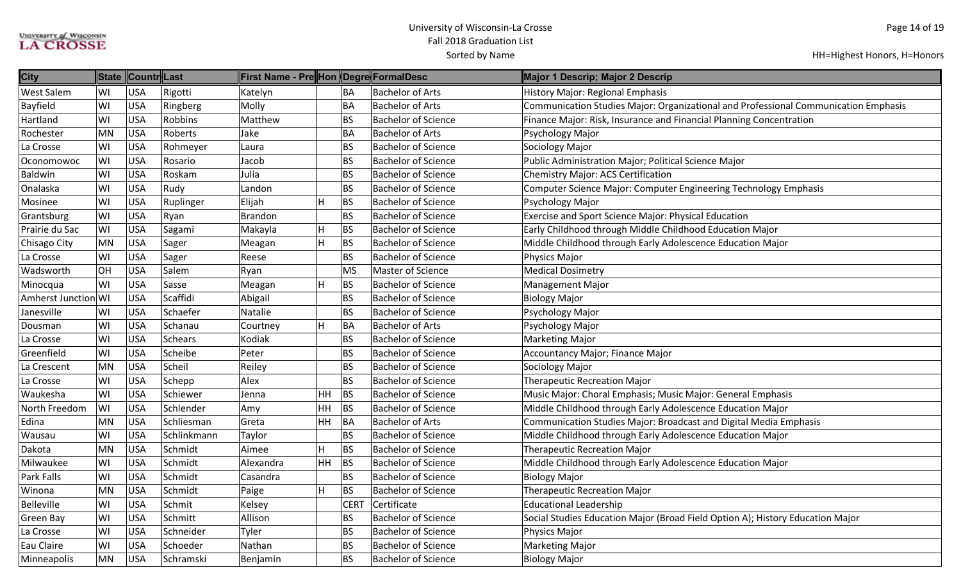| <b>City</b>         |           | State Countr Last |                | <b>First Name - Pre Hon Degre FormalDesc</b> |           |             |                            | Major 1 Descrip; Major 2 Descrip                                                    |
|---------------------|-----------|-------------------|----------------|----------------------------------------------|-----------|-------------|----------------------------|-------------------------------------------------------------------------------------|
| <b>West Salem</b>   | WI        | <b>USA</b>        | Rigotti        | Katelyn                                      |           | BA          | <b>Bachelor of Arts</b>    | <b>History Major: Regional Emphasis</b>                                             |
| <b>Bayfield</b>     | WI        | <b>USA</b>        | Ringberg       | Molly                                        |           | <b>BA</b>   | <b>Bachelor of Arts</b>    | Communication Studies Major: Organizational and Professional Communication Emphasis |
| Hartland            | WI        | USA               | Robbins        | Matthew                                      |           | <b>BS</b>   | <b>Bachelor of Science</b> | Finance Major: Risk, Insurance and Financial Planning Concentration                 |
| Rochester           | <b>MN</b> | <b>USA</b>        | Roberts        | Jake                                         |           | <b>BA</b>   | <b>Bachelor of Arts</b>    | Psychology Major                                                                    |
| La Crosse           | WI        | USA               | Rohmeyer       | Laura                                        |           | <b>BS</b>   | <b>Bachelor of Science</b> | Sociology Major                                                                     |
| Oconomowoc          | WI        | USA               | Rosario        | Jacob                                        |           | <b>BS</b>   | <b>Bachelor of Science</b> | Public Administration Major; Political Science Major                                |
| Baldwin             | WI        | <b>USA</b>        | Roskam         | Julia                                        |           | <b>BS</b>   | <b>Bachelor of Science</b> | Chemistry Major: ACS Certification                                                  |
| Onalaska            | WI        | <b>USA</b>        | Rudy           | Landon                                       |           | <b>BS</b>   | <b>Bachelor of Science</b> | Computer Science Major: Computer Engineering Technology Emphasis                    |
| Mosinee             | WI        | USA               | Ruplinger      | Elijah                                       | H         | <b>BS</b>   | <b>Bachelor of Science</b> | Psychology Major                                                                    |
| Grantsburg          | WI        | <b>USA</b>        | Ryan           | <b>Brandon</b>                               |           | <b>BS</b>   | <b>Bachelor of Science</b> | <b>Exercise and Sport Science Major: Physical Education</b>                         |
| Prairie du Sac      | WI        | USA               | Sagami         | Makayla                                      | H         | <b>BS</b>   | <b>Bachelor of Science</b> | Early Childhood through Middle Childhood Education Major                            |
| Chisago City        | <b>MN</b> | <b>USA</b>        | Sager          | Meagan                                       | H         | <b>BS</b>   | <b>Bachelor of Science</b> | Middle Childhood through Early Adolescence Education Major                          |
| La Crosse           | lwı       | USA               | Sager          | Reese                                        |           | <b>BS</b>   | <b>Bachelor of Science</b> | Physics Major                                                                       |
| Wadsworth           | <b>OH</b> | <b>USA</b>        | Salem          | Ryan                                         |           | <b>MS</b>   | Master of Science          | <b>Medical Dosimetry</b>                                                            |
| Minocqua            | WI        | <b>USA</b>        | Sasse          | Meagan                                       | H         | <b>BS</b>   | <b>Bachelor of Science</b> | <b>Management Major</b>                                                             |
| Amherst Junction WI |           | USA               | Scaffidi       | Abigail                                      |           | <b>BS</b>   | <b>Bachelor of Science</b> | <b>Biology Major</b>                                                                |
| Janesville          | WI        | USA               | Schaefer       | Natalie                                      |           | <b>BS</b>   | <b>Bachelor of Science</b> | Psychology Major                                                                    |
| Dousman             | WI        | USA               | Schanau        | Courtney                                     | H         | BA          | <b>Bachelor of Arts</b>    | Psychology Major                                                                    |
| La Crosse           | lwı       | USA               | <b>Schears</b> | Kodiak                                       |           | <b>BS</b>   | <b>Bachelor of Science</b> | <b>Marketing Major</b>                                                              |
| Greenfield          | WI        | USA               | Scheibe        | Peter                                        |           | <b>BS</b>   | <b>Bachelor of Science</b> | Accountancy Major; Finance Major                                                    |
| La Crescent         | <b>MN</b> | <b>USA</b>        | Scheil         | Reiley                                       |           | <b>BS</b>   | <b>Bachelor of Science</b> | Sociology Major                                                                     |
| La Crosse           | WI        | <b>USA</b>        | Schepp         | Alex                                         |           | <b>BS</b>   | <b>Bachelor of Science</b> | <b>Therapeutic Recreation Major</b>                                                 |
| Waukesha            | WI        | <b>USA</b>        | Schiewer       | Jenna                                        | HH        | <b>BS</b>   | <b>Bachelor of Science</b> | Music Major: Choral Emphasis; Music Major: General Emphasis                         |
| North Freedom       | WI        | USA               | Schlender      | Amy                                          | HH        | BS          | <b>Bachelor of Science</b> | Middle Childhood through Early Adolescence Education Major                          |
| Edina               | <b>MN</b> | USA               | Schliesman     | Greta                                        | HH.       | BA          | <b>Bachelor of Arts</b>    | Communication Studies Major: Broadcast and Digital Media Emphasis                   |
| Wausau              | lwı       | <b>USA</b>        | Schlinkmann    | Taylor                                       |           | <b>BS</b>   | <b>Bachelor of Science</b> | Middle Childhood through Early Adolescence Education Major                          |
| Dakota              | <b>MN</b> | <b>USA</b>        | Schmidt        | Aimee                                        | H         | <b>BS</b>   | <b>Bachelor of Science</b> | <b>Therapeutic Recreation Major</b>                                                 |
| Milwaukee           | WI        | USA               | Schmidt        | Alexandra                                    | <b>HH</b> | BS          | <b>Bachelor of Science</b> | Middle Childhood through Early Adolescence Education Major                          |
| Park Falls          | WI        | <b>USA</b>        | Schmidt        | Casandra                                     |           | <b>BS</b>   | <b>Bachelor of Science</b> | <b>Biology Major</b>                                                                |
| Winona              | <b>MN</b> | <b>USA</b>        | Schmidt        | Paige                                        | H         | <b>BS</b>   | <b>Bachelor of Science</b> | <b>Therapeutic Recreation Major</b>                                                 |
| <b>Belleville</b>   | WI        | USA               | Schmit         | Kelsey                                       |           | <b>CERT</b> | Certificate                | <b>Educational Leadership</b>                                                       |
| Green Bay           | WI        | <b>USA</b>        | Schmitt        | Allison                                      |           | <b>BS</b>   | <b>Bachelor of Science</b> | Social Studies Education Major (Broad Field Option A); History Education Major      |
| La Crosse           | WI        | USA               | Schneider      | Tyler                                        |           | <b>BS</b>   | <b>Bachelor of Science</b> | Physics Major                                                                       |
| Eau Claire          | WI        | USA               | Schoeder       | Nathan                                       |           | <b>BS</b>   | <b>Bachelor of Science</b> | <b>Marketing Major</b>                                                              |
| Minneapolis         | <b>MN</b> | <b>USA</b>        | Schramski      | Benjamin                                     |           | <b>BS</b>   | <b>Bachelor of Science</b> | <b>Biology Major</b>                                                                |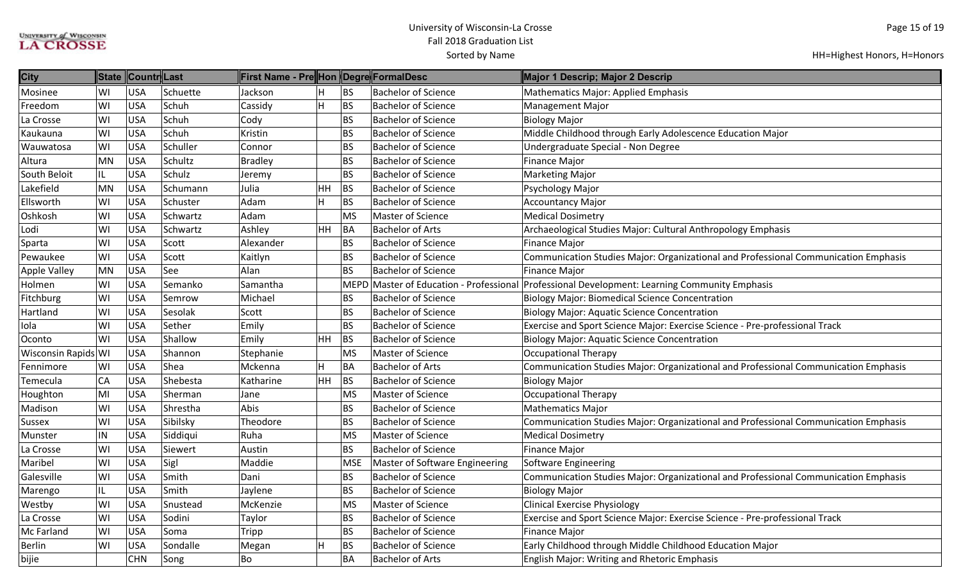| <b>City</b>         |    | State Countr Last |          | First Name - Pre Hon Degre FormalDesc |    |            |                                         | Major 1 Descrip; Major 2 Descrip                                                    |
|---------------------|----|-------------------|----------|---------------------------------------|----|------------|-----------------------------------------|-------------------------------------------------------------------------------------|
| Mosinee             | WI | <b>USA</b>        | Schuette | Jackson                               |    | <b>BS</b>  | <b>Bachelor of Science</b>              | Mathematics Major: Applied Emphasis                                                 |
| Freedom             | WI | <b>USA</b>        | Schuh    | Cassidy                               | н  | <b>BS</b>  | <b>Bachelor of Science</b>              | <b>Management Major</b>                                                             |
| La Crosse           | WI | <b>USA</b>        | Schuh    | Cody                                  |    | <b>BS</b>  | <b>Bachelor of Science</b>              | <b>Biology Major</b>                                                                |
| Kaukauna            | WI | <b>USA</b>        | Schuh    | Kristin                               |    | <b>BS</b>  | <b>Bachelor of Science</b>              | Middle Childhood through Early Adolescence Education Major                          |
| Wauwatosa           | WI | <b>USA</b>        | Schuller | Connor                                |    | BS         | <b>Bachelor of Science</b>              | Undergraduate Special - Non Degree                                                  |
| Altura              | MN | <b>USA</b>        | Schultz  | <b>Bradley</b>                        |    | <b>BS</b>  | <b>Bachelor of Science</b>              | <b>Finance Major</b>                                                                |
| South Beloit        | IL | <b>USA</b>        | Schulz   | Jeremy                                |    | <b>BS</b>  | <b>Bachelor of Science</b>              | <b>Marketing Major</b>                                                              |
| Lakefield           | MN | <b>USA</b>        | Schumann | Julia                                 | HH | <b>BS</b>  | <b>Bachelor of Science</b>              | Psychology Major                                                                    |
| Ellsworth           | WI | <b>USA</b>        | Schuster | Adam                                  | н  | <b>BS</b>  | <b>Bachelor of Science</b>              | <b>Accountancy Major</b>                                                            |
| Oshkosh             | WI | <b>USA</b>        | Schwartz | Adam                                  |    | <b>MS</b>  | <b>Master of Science</b>                | <b>Medical Dosimetry</b>                                                            |
| Lodi                | WI | <b>USA</b>        | Schwartz | Ashley                                | HH | BA         | <b>Bachelor of Arts</b>                 | Archaeological Studies Major: Cultural Anthropology Emphasis                        |
| Sparta              | WI | <b>USA</b>        | Scott    | Alexander                             |    | BS         | <b>Bachelor of Science</b>              | Finance Major                                                                       |
| Pewaukee            | WI | <b>USA</b>        | Scott    | Kaitlyn                               |    | BS         | <b>Bachelor of Science</b>              | Communication Studies Major: Organizational and Professional Communication Emphasis |
| Apple Valley        | MN | <b>USA</b>        | See      | Alan                                  |    | <b>BS</b>  | <b>Bachelor of Science</b>              | <b>Finance Major</b>                                                                |
| Holmen              | WI | <b>USA</b>        | Semanko  | Samantha                              |    |            | MEPD Master of Education - Professional | Professional Development: Learning Community Emphasis                               |
| Fitchburg           | WI | <b>USA</b>        | Semrow   | Michael                               |    | <b>BS</b>  | <b>Bachelor of Science</b>              | <b>Biology Major: Biomedical Science Concentration</b>                              |
| Hartland            | WI | <b>USA</b>        | Sesolak  | Scott                                 |    | <b>BS</b>  | <b>Bachelor of Science</b>              | <b>Biology Major: Aquatic Science Concentration</b>                                 |
| Iola                | WI | <b>USA</b>        | Sether   | Emily                                 |    | <b>BS</b>  | <b>Bachelor of Science</b>              | Exercise and Sport Science Major: Exercise Science - Pre-professional Track         |
| Oconto              | WI | <b>USA</b>        | Shallow  | Emily                                 | HH | <b>BS</b>  | <b>Bachelor of Science</b>              | <b>Biology Major: Aquatic Science Concentration</b>                                 |
| Wisconsin Rapids WI |    | <b>USA</b>        | Shannon  | Stephanie                             |    | <b>MS</b>  | Master of Science                       | <b>Occupational Therapy</b>                                                         |
| Fennimore           | WI | <b>USA</b>        | Shea     | Mckenna                               | H  | BA         | <b>Bachelor of Arts</b>                 | Communication Studies Major: Organizational and Professional Communication Emphasis |
| Temecula            | CA | <b>USA</b>        | Shebesta | Katharine                             | HH | <b>BS</b>  | <b>Bachelor of Science</b>              | <b>Biology Major</b>                                                                |
| Houghton            | MI | <b>USA</b>        | Sherman  | Jane                                  |    | <b>MS</b>  | <b>Master of Science</b>                | <b>Occupational Therapy</b>                                                         |
| Madison             | WI | <b>USA</b>        | Shrestha | Abis                                  |    | <b>BS</b>  | <b>Bachelor of Science</b>              | <b>Mathematics Major</b>                                                            |
| Sussex              | WI | <b>USA</b>        | Sibilsky | Theodore                              |    | BS         | <b>Bachelor of Science</b>              | Communication Studies Major: Organizational and Professional Communication Emphasis |
| Munster             | IN | <b>USA</b>        | Siddiqui | Ruha                                  |    | MS         | Master of Science                       | <b>Medical Dosimetry</b>                                                            |
| La Crosse           | WI | <b>USA</b>        | Siewert  | Austin                                |    | <b>BS</b>  | <b>Bachelor of Science</b>              | <b>Finance Major</b>                                                                |
| Maribel             | WI | <b>USA</b>        | Sigl     | Maddie                                |    | <b>MSE</b> | Master of Software Engineering          | Software Engineering                                                                |
| Galesville          | WI | <b>USA</b>        | Smith    | Dani                                  |    | <b>BS</b>  | <b>Bachelor of Science</b>              | Communication Studies Major: Organizational and Professional Communication Emphasis |
| Marengo             | IL | <b>USA</b>        | Smith    | Jaylene                               |    | <b>BS</b>  | <b>Bachelor of Science</b>              | <b>Biology Major</b>                                                                |
| Westby              | WI | <b>USA</b>        | Snustead | McKenzie                              |    | <b>MS</b>  | Master of Science                       | <b>Clinical Exercise Physiology</b>                                                 |
| La Crosse           | WI | <b>USA</b>        | Sodini   | Taylor                                |    | <b>BS</b>  | <b>Bachelor of Science</b>              | Exercise and Sport Science Major: Exercise Science - Pre-professional Track         |
| Mc Farland          | WI | <b>USA</b>        | Soma     | Tripp                                 |    | BS         | <b>Bachelor of Science</b>              | Finance Major                                                                       |
| <b>Berlin</b>       | WI | <b>USA</b>        | Sondalle | Megan                                 |    | <b>BS</b>  | <b>Bachelor of Science</b>              | Early Childhood through Middle Childhood Education Major                            |
| bijie               |    | <b>CHN</b>        | Song     | Bo                                    |    | BΑ         | <b>Bachelor of Arts</b>                 | English Major: Writing and Rhetoric Emphasis                                        |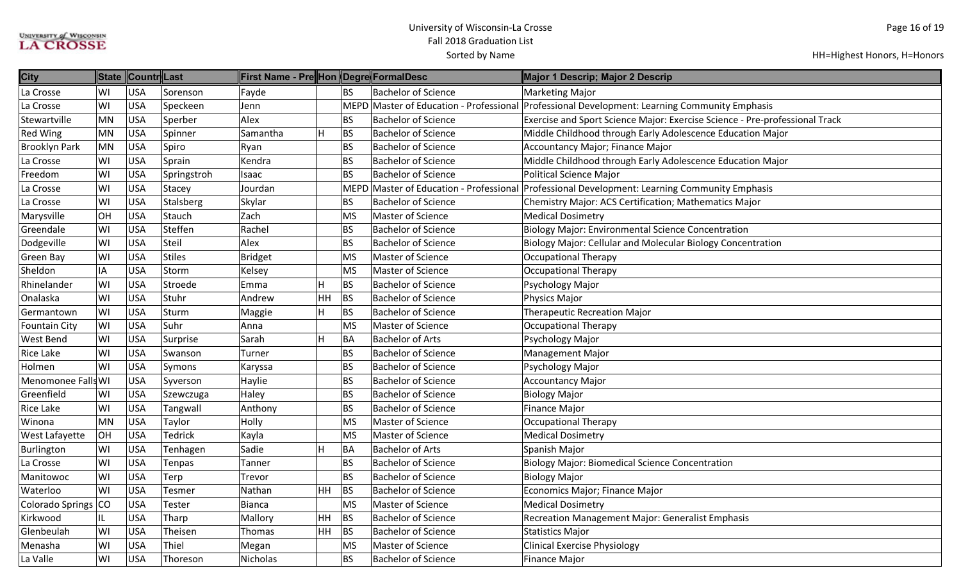| <b>City</b>          |           | State Countr Last |                | ∥First Name - Pre∥Hon ∥Degre∥FormalDesc |    |           |                            | Major 1 Descrip; Major 2 Descrip                                                              |
|----------------------|-----------|-------------------|----------------|-----------------------------------------|----|-----------|----------------------------|-----------------------------------------------------------------------------------------------|
| La Crosse            | WI        | <b>USA</b>        | Sorenson       | Fayde                                   |    | <b>BS</b> | <b>Bachelor of Science</b> | <b>Marketing Major</b>                                                                        |
| La Crosse            | WI        | <b>USA</b>        | Speckeen       | Jenn                                    |    |           |                            | MEPD Master of Education - Professional Professional Development: Learning Community Emphasis |
| Stewartville         | <b>MN</b> | <b>USA</b>        | Sperber        | Alex                                    |    | <b>BS</b> | <b>Bachelor of Science</b> | Exercise and Sport Science Major: Exercise Science - Pre-professional Track                   |
| <b>Red Wing</b>      | <b>MN</b> | <b>USA</b>        | Spinner        | Samantha                                |    | BS        | <b>Bachelor of Science</b> | Middle Childhood through Early Adolescence Education Major                                    |
| <b>Brooklyn Park</b> | <b>MN</b> | <b>USA</b>        | Spiro          | Ryan                                    |    | <b>BS</b> | <b>Bachelor of Science</b> | Accountancy Major; Finance Major                                                              |
| La Crosse            | WI        | <b>USA</b>        | Sprain         | Kendra                                  |    | <b>BS</b> | <b>Bachelor of Science</b> | Middle Childhood through Early Adolescence Education Major                                    |
| Freedom              | WI        | <b>USA</b>        | Springstroh    | Isaac                                   |    | <b>BS</b> | <b>Bachelor of Science</b> | Political Science Major                                                                       |
| La Crosse            | WI        | <b>USA</b>        | Stacey         | Jourdan                                 |    |           |                            | MEPD Master of Education - Professional Professional Development: Learning Community Emphasis |
| La Crosse            | WI        | <b>USA</b>        | Stalsberg      | Skylar                                  |    | BS        | <b>Bachelor of Science</b> | Chemistry Major: ACS Certification; Mathematics Major                                         |
| Marysville           | OH        | <b>USA</b>        | Stauch         | Zach                                    |    | <b>MS</b> | Master of Science          | <b>Medical Dosimetry</b>                                                                      |
| Greendale            | WI        | <b>USA</b>        | Steffen        | Rachel                                  |    | <b>BS</b> | <b>Bachelor of Science</b> | <b>Biology Major: Environmental Science Concentration</b>                                     |
| Dodgeville           | WI        | <b>USA</b>        | Steil          | Alex                                    |    | <b>BS</b> | <b>Bachelor of Science</b> | Biology Major: Cellular and Molecular Biology Concentration                                   |
| <b>Green Bay</b>     | WI        | <b>USA</b>        | <b>Stiles</b>  | <b>Bridget</b>                          |    | <b>MS</b> | <b>Master of Science</b>   | <b>Occupational Therapy</b>                                                                   |
| Sheldon              | IA        | <b>USA</b>        | Storm          | Kelsey                                  |    | <b>MS</b> | <b>Master of Science</b>   | Occupational Therapy                                                                          |
| Rhinelander          | WI        | <b>USA</b>        | Stroede        | Emma                                    |    | <b>BS</b> | <b>Bachelor of Science</b> | Psychology Major                                                                              |
| Onalaska             | WI        | <b>USA</b>        | Stuhr          | Andrew                                  | HH | <b>BS</b> | <b>Bachelor of Science</b> | Physics Major                                                                                 |
| Germantown           | WI        | <b>USA</b>        | Sturm          | Maggie                                  | н  | <b>BS</b> | <b>Bachelor of Science</b> | <b>Therapeutic Recreation Major</b>                                                           |
| <b>Fountain City</b> | WI        | <b>USA</b>        | Suhr           | Anna                                    |    | <b>MS</b> | Master of Science          | <b>Occupational Therapy</b>                                                                   |
| <b>West Bend</b>     | WI        | <b>USA</b>        | Surprise       | Sarah                                   | H  | BA        | <b>Bachelor of Arts</b>    | Psychology Major                                                                              |
| <b>Rice Lake</b>     | WI        | <b>USA</b>        | Swanson        | Turner                                  |    | <b>BS</b> | <b>Bachelor of Science</b> | <b>Management Major</b>                                                                       |
| Holmen               | WI        | <b>USA</b>        | Symons         | Karyssa                                 |    | <b>BS</b> | <b>Bachelor of Science</b> | Psychology Major                                                                              |
| Menomonee Falls WI   |           | <b>USA</b>        | Syverson       | Haylie                                  |    | <b>BS</b> | <b>Bachelor of Science</b> | <b>Accountancy Major</b>                                                                      |
| Greenfield           | WI        | <b>USA</b>        | Szewczuga      | Haley                                   |    | <b>BS</b> | <b>Bachelor of Science</b> | <b>Biology Major</b>                                                                          |
| <b>Rice Lake</b>     | WI        | <b>USA</b>        | Tangwall       | Anthony                                 |    | <b>BS</b> | <b>Bachelor of Science</b> | <b>Finance Major</b>                                                                          |
| Winona               | <b>MN</b> | <b>USA</b>        | Taylor         | Holly                                   |    | <b>MS</b> | <b>Master of Science</b>   | Occupational Therapy                                                                          |
| West Lafayette       | OH        | <b>USA</b>        | <b>Tedrick</b> | Kayla                                   |    | <b>MS</b> | Master of Science          | <b>Medical Dosimetry</b>                                                                      |
| Burlington           | WI        | <b>USA</b>        | Tenhagen       | Sadie                                   |    | BA        | <b>Bachelor of Arts</b>    | Spanish Major                                                                                 |
| La Crosse            | WI        | <b>USA</b>        | Tenpas         | Tanner                                  |    | <b>BS</b> | <b>Bachelor of Science</b> | <b>Biology Major: Biomedical Science Concentration</b>                                        |
| Manitowoc            | WI        | <b>USA</b>        | Terp           | Trevor                                  |    | <b>BS</b> | <b>Bachelor of Science</b> | <b>Biology Major</b>                                                                          |
| Waterloo             | WI        | <b>USA</b>        | Tesmer         | Nathan                                  | HH | BS        | <b>Bachelor of Science</b> | Economics Major; Finance Major                                                                |
| Colorado Springs     | <b>CO</b> | <b>USA</b>        | Tester         | <b>Bianca</b>                           |    | <b>MS</b> | Master of Science          | <b>Medical Dosimetry</b>                                                                      |
| Kirkwood             | IL        | <b>USA</b>        | Tharp          | Mallory                                 | HH | <b>BS</b> | <b>Bachelor of Science</b> | <b>Recreation Management Major: Generalist Emphasis</b>                                       |
| Glenbeulah           | WI        | <b>USA</b>        | Theisen        | Thomas                                  | HH | <b>BS</b> | <b>Bachelor of Science</b> | Statistics Major                                                                              |
| Menasha              | WI        | <b>USA</b>        | Thiel          | Megan                                   |    | <b>MS</b> | Master of Science          | <b>Clinical Exercise Physiology</b>                                                           |
| La Valle             | WI        | <b>USA</b>        | Thoreson       | Nicholas                                |    | <b>BS</b> | <b>Bachelor of Science</b> | Finance Major                                                                                 |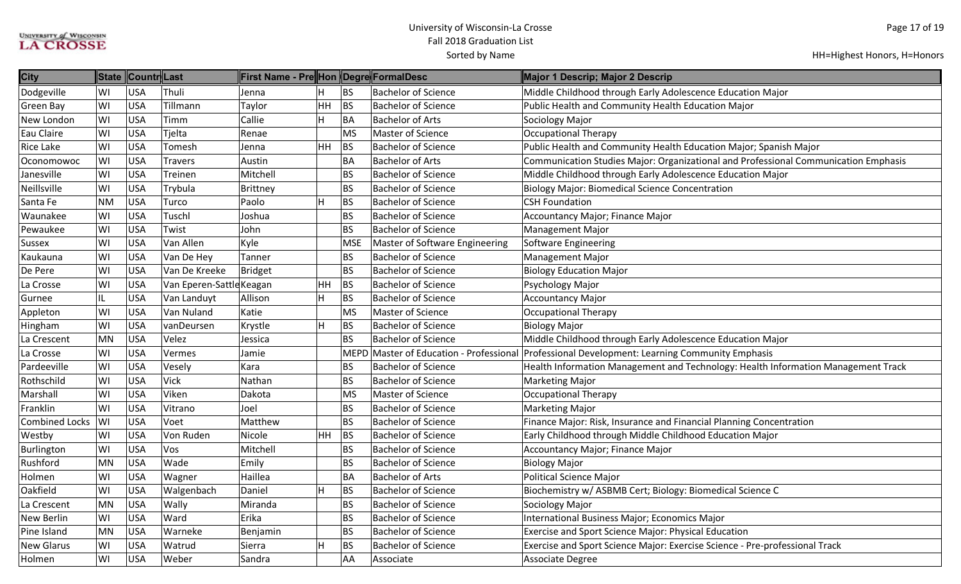| <b>City</b>       |           |            |                          | First Name - Pre Hon  Degre FormalDesc |    |             |                                    | Major 1 Descrip; Major 2 Descrip                                                    |
|-------------------|-----------|------------|--------------------------|----------------------------------------|----|-------------|------------------------------------|-------------------------------------------------------------------------------------|
| Dodgeville        | WI        | <b>USA</b> | Thuli                    | Jenna                                  |    | <b>BS</b>   | <b>Bachelor of Science</b>         | Middle Childhood through Early Adolescence Education Major                          |
| Green Bay         | WI        | <b>USA</b> | Tillmann                 | Taylor                                 | HH | BS          | <b>Bachelor of Science</b>         | Public Health and Community Health Education Major                                  |
| New London        | WI        | <b>USA</b> | Timm                     | Callie                                 |    | BA          | <b>Bachelor of Arts</b>            | Sociology Major                                                                     |
| Eau Claire        | WI        | <b>USA</b> | Tjelta                   | Renae                                  |    | MS          | Master of Science                  | Occupational Therapy                                                                |
| <b>Rice Lake</b>  | WI        | <b>USA</b> | Tomesh                   | Jenna                                  | HH | BS          | <b>Bachelor of Science</b>         | Public Health and Community Health Education Major; Spanish Major                   |
| Oconomowoc        | WI        | <b>USA</b> | <b>Travers</b>           | Austin                                 |    | <b>BA</b>   | <b>Bachelor of Arts</b>            | Communication Studies Major: Organizational and Professional Communication Emphasis |
| Janesville        | WI        | <b>USA</b> | Treinen                  | Mitchell                               |    | <b>BS</b>   | <b>Bachelor of Science</b>         | Middle Childhood through Early Adolescence Education Major                          |
| Neillsville       | WI        | <b>USA</b> | Trybula                  | Brittney                               |    | <b>BS</b>   | <b>Bachelor of Science</b>         | <b>Biology Major: Biomedical Science Concentration</b>                              |
| Santa Fe          | <b>NM</b> | <b>USA</b> | Turco                    | Paolo                                  | H  | <b>BS</b>   | <b>Bachelor of Science</b>         | <b>CSH Foundation</b>                                                               |
| Waunakee          | WI        | <b>USA</b> | Tuschl                   | Joshua                                 |    | <b>BS</b>   | <b>Bachelor of Science</b>         | Accountancy Major; Finance Major                                                    |
| Pewaukee          | WI        | <b>USA</b> | Twist                    | John                                   |    | <b>BS</b>   | <b>Bachelor of Science</b>         | <b>Management Major</b>                                                             |
| Sussex            | WI        | <b>USA</b> | Van Allen                | Kyle                                   |    | <b>MSE</b>  | Master of Software Engineering     | Software Engineering                                                                |
| Kaukauna          | WI        | <b>USA</b> | Van De Hey               | Tanner                                 |    | <b>BS</b>   | <b>Bachelor of Science</b>         | <b>Management Major</b>                                                             |
| De Pere           | WI        | <b>USA</b> | Van De Kreeke            | Bridget                                |    | <b>BS</b>   | <b>Bachelor of Science</b>         | <b>Biology Education Major</b>                                                      |
| La Crosse         | WI        | <b>USA</b> | Van Eperen-Sattle Keagan |                                        | HH | <b>BS</b>   | <b>Bachelor of Science</b>         | Psychology Major                                                                    |
| Gurnee            | IL        | <b>USA</b> | Van Landuyt              | Allison                                | H  | <b>BS</b>   | <b>Bachelor of Science</b>         | <b>Accountancy Major</b>                                                            |
| Appleton          | WI        | <b>USA</b> | Van Nuland               | Katie                                  |    | MS          | Master of Science                  | Occupational Therapy                                                                |
| Hingham           | WI        | <b>USA</b> | vanDeursen               | Krystle                                | H  | <b>BS</b>   | <b>Bachelor of Science</b>         | <b>Biology Major</b>                                                                |
| La Crescent       | <b>MN</b> | <b>USA</b> | Velez                    | Jessica                                |    | <b>BS</b>   | <b>Bachelor of Science</b>         | Middle Childhood through Early Adolescence Education Major                          |
| La Crosse         | WI        | <b>USA</b> | Vermes                   | Jamie                                  |    | <b>MEPD</b> | Master of Education - Professional | Professional Development: Learning Community Emphasis                               |
| Pardeeville       | WI        | <b>USA</b> | Vesely                   | Kara                                   |    | <b>BS</b>   | <b>Bachelor of Science</b>         | Health Information Management and Technology: Health Information Management Track   |
| Rothschild        | WI        | <b>USA</b> | Vick                     | Nathan                                 |    | <b>BS</b>   | <b>Bachelor of Science</b>         | <b>Marketing Major</b>                                                              |
| Marshall          | WI        | <b>USA</b> | Viken                    | Dakota                                 |    | MS          | Master of Science                  | Occupational Therapy                                                                |
| Franklin          | WI        | <b>USA</b> | Vitrano                  | Joel                                   |    | <b>BS</b>   | <b>Bachelor of Science</b>         | <b>Marketing Major</b>                                                              |
| Combined Locks    | WI        | <b>USA</b> | Voet                     | Matthew                                |    | <b>BS</b>   | <b>Bachelor of Science</b>         | Finance Major: Risk, Insurance and Financial Planning Concentration                 |
| Westby            | WI        | <b>USA</b> | Von Ruden                | Nicole                                 | HH | <b>BS</b>   | <b>Bachelor of Science</b>         | Early Childhood through Middle Childhood Education Major                            |
| Burlington        | WI        | <b>USA</b> | Vos                      | Mitchell                               |    | <b>BS</b>   | <b>Bachelor of Science</b>         | Accountancy Major; Finance Major                                                    |
| Rushford          | <b>MN</b> | <b>USA</b> | Wade                     | Emily                                  |    | <b>BS</b>   | <b>Bachelor of Science</b>         | <b>Biology Major</b>                                                                |
| Holmen            | WI        | <b>USA</b> | Wagner                   | Haillea                                |    | <b>BA</b>   | <b>Bachelor of Arts</b>            | Political Science Major                                                             |
| Oakfield          | WI        | <b>USA</b> | Walgenbach               | Daniel                                 | H  | <b>BS</b>   | <b>Bachelor of Science</b>         | Biochemistry w/ ASBMB Cert; Biology: Biomedical Science C                           |
| La Crescent       | <b>MN</b> | <b>USA</b> | Wally                    | Miranda                                |    | <b>BS</b>   | <b>Bachelor of Science</b>         | Sociology Major                                                                     |
| New Berlin        | WI        | <b>USA</b> | Ward                     | Erika                                  |    | <b>BS</b>   | <b>Bachelor of Science</b>         | International Business Major; Economics Major                                       |
| Pine Island       | <b>MN</b> | <b>USA</b> | Warneke                  | Benjamin                               |    | <b>BS</b>   | <b>Bachelor of Science</b>         | Exercise and Sport Science Major: Physical Education                                |
| <b>New Glarus</b> | WI        | <b>USA</b> | Watrud                   | Sierra                                 | H  | <b>BS</b>   | <b>Bachelor of Science</b>         | Exercise and Sport Science Major: Exercise Science - Pre-professional Track         |
| Holmen            | WI        | <b>USA</b> | Weber                    | Sandra                                 |    | AA          | Associate                          | Associate Degree                                                                    |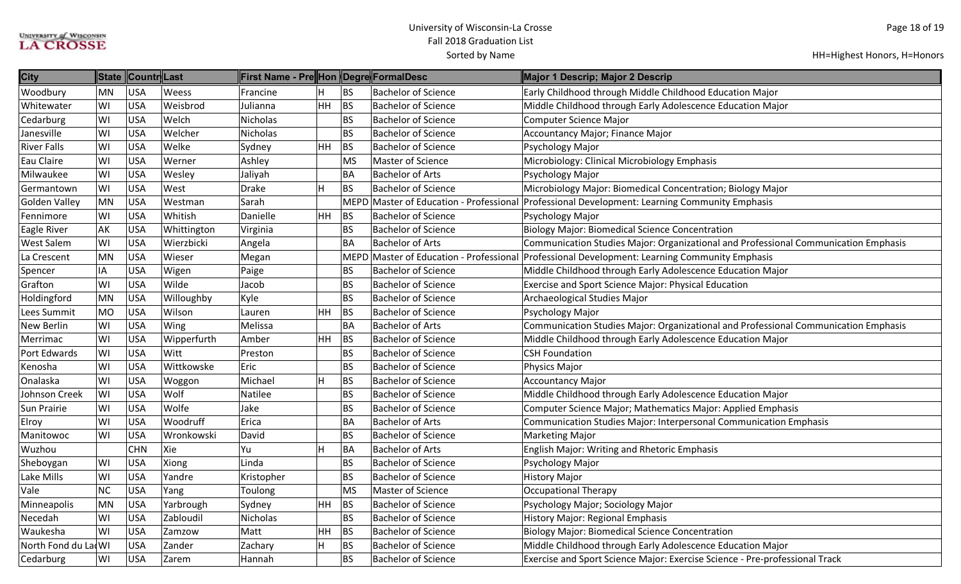| <b>City</b>          | <b>State</b> | Countr Last |             | ∥First Name - Pre∥Hon ∥Degre∥FormalDesc |                         |                          |                            | Major 1 Descrip; Major 2 Descrip                                                              |
|----------------------|--------------|-------------|-------------|-----------------------------------------|-------------------------|--------------------------|----------------------------|-----------------------------------------------------------------------------------------------|
| Woodbury             | MN           | USA         | Weess       | Francine                                | H                       | BS                       | <b>Bachelor of Science</b> | Early Childhood through Middle Childhood Education Major                                      |
| Whitewater           | WI           | <b>USA</b>  | Weisbrod    | Julianna                                | <b>HH</b>               | BS                       | <b>Bachelor of Science</b> | Middle Childhood through Early Adolescence Education Major                                    |
| Cedarburg            | WI           | USA         | Welch       | Nicholas                                |                         | <b>BS</b>                | <b>Bachelor of Science</b> | <b>Computer Science Major</b>                                                                 |
| Janesville           | WI           | <b>USA</b>  | Welcher     | Nicholas                                |                         | <b>BS</b>                | <b>Bachelor of Science</b> | Accountancy Major; Finance Major                                                              |
| <b>River Falls</b>   | WI           | <b>USA</b>  | Welke       | Sydney                                  | HH                      | BS                       | <b>Bachelor of Science</b> | Psychology Major                                                                              |
| Eau Claire           | WI           | <b>USA</b>  | Werner      | Ashley                                  |                         | <b>MS</b>                | Master of Science          | Microbiology: Clinical Microbiology Emphasis                                                  |
| Milwaukee            | WI           | <b>USA</b>  | Wesley      | Jaliyah                                 |                         | <b>BA</b>                | <b>Bachelor of Arts</b>    | Psychology Major                                                                              |
| Germantown           | WI           | <b>USA</b>  | West        | Drake                                   | $\overline{\mathsf{H}}$ | BS                       | <b>Bachelor of Science</b> | Microbiology Major: Biomedical Concentration; Biology Major                                   |
| <b>Golden Valley</b> | <b>MN</b>    | <b>USA</b>  | Westman     | Sarah                                   |                         |                          |                            | MEPD Master of Education - Professional Professional Development: Learning Community Emphasis |
| Fennimore            | WI           | <b>USA</b>  | Whitish     | Danielle                                | HH                      | BS                       | <b>Bachelor of Science</b> | Psychology Major                                                                              |
| Eagle River          | AK           | <b>USA</b>  | Whittington | Virginia                                |                         | <b>BS</b>                | <b>Bachelor of Science</b> | <b>Biology Major: Biomedical Science Concentration</b>                                        |
| <b>West Salem</b>    | WI           | <b>USA</b>  | Wierzbicki  | Angela                                  |                         | <b>BA</b>                | <b>Bachelor of Arts</b>    | Communication Studies Major: Organizational and Professional Communication Emphasis           |
| La Crescent          | <b>MN</b>    | <b>USA</b>  | Wieser      | Megan                                   |                         |                          |                            | MEPD Master of Education - Professional Professional Development: Learning Community Emphasis |
| Spencer              | IA           | <b>USA</b>  | Wigen       | Paige                                   |                         | <b>BS</b>                | <b>Bachelor of Science</b> | Middle Childhood through Early Adolescence Education Major                                    |
| Grafton              | WI           | <b>USA</b>  | Wilde       | Jacob                                   |                         | <b>BS</b>                | <b>Bachelor of Science</b> | <b>Exercise and Sport Science Major: Physical Education</b>                                   |
| Holdingford          | <b>MN</b>    | <b>USA</b>  | Willoughby  | Kyle                                    |                         | <b>BS</b>                | <b>Bachelor of Science</b> | Archaeological Studies Major                                                                  |
| Lees Summit          | <b>MO</b>    | <b>USA</b>  | Wilson      | Lauren                                  | HH                      | $\overline{\mathsf{BS}}$ | <b>Bachelor of Science</b> | Psychology Major                                                                              |
| <b>New Berlin</b>    | WI           | <b>USA</b>  | Wing        | Melissa                                 |                         | <b>BA</b>                | <b>Bachelor of Arts</b>    | Communication Studies Major: Organizational and Professional Communication Emphasis           |
| Merrimac             | WI           | <b>USA</b>  | Wipperfurth | Amber                                   | HH                      | BS                       | <b>Bachelor of Science</b> | Middle Childhood through Early Adolescence Education Major                                    |
| Port Edwards         | WI           | <b>USA</b>  | Witt        | Preston                                 |                         | <b>BS</b>                | <b>Bachelor of Science</b> | <b>CSH Foundation</b>                                                                         |
| Kenosha              | WI           | <b>USA</b>  | Wittkowske  | Eric                                    |                         | BS                       | <b>Bachelor of Science</b> | Physics Major                                                                                 |
| Onalaska             | WI           | <b>USA</b>  | Woggon      | Michael                                 | $\overline{\mathsf{H}}$ | <b>BS</b>                | <b>Bachelor of Science</b> | <b>Accountancy Major</b>                                                                      |
| Johnson Creek        | WI           | <b>USA</b>  | Wolf        | Natilee                                 |                         | <b>BS</b>                | <b>Bachelor of Science</b> | Middle Childhood through Early Adolescence Education Major                                    |
| <b>Sun Prairie</b>   | WI           | <b>USA</b>  | Wolfe       | Jake                                    |                         | <b>BS</b>                | <b>Bachelor of Science</b> | Computer Science Major; Mathematics Major: Applied Emphasis                                   |
| Elroy                | WI           | <b>USA</b>  | Woodruff    | Erica                                   |                         | <b>BA</b>                | <b>Bachelor of Arts</b>    | Communication Studies Major: Interpersonal Communication Emphasis                             |
| Manitowoc            | WI           | USA         | Wronkowski  | David                                   |                         | <b>BS</b>                | <b>Bachelor of Science</b> | <b>Marketing Major</b>                                                                        |
| Wuzhou               |              | <b>CHN</b>  | Xie         | Yu                                      | H                       | BA                       | <b>Bachelor of Arts</b>    | <b>English Major: Writing and Rhetoric Emphasis</b>                                           |
| Sheboygan            | WI           | USA         | Xiong       | Linda                                   |                         | <b>BS</b>                | <b>Bachelor of Science</b> | Psychology Major                                                                              |
| Lake Mills           | WI           | <b>USA</b>  | Yandre      | Kristopher                              |                         | <b>BS</b>                | <b>Bachelor of Science</b> | <b>History Major</b>                                                                          |
| Vale                 | <b>NC</b>    | <b>USA</b>  | Yang        | Toulong                                 |                         | <b>MS</b>                | Master of Science          | Occupational Therapy                                                                          |
| Minneapolis          | <b>MN</b>    | <b>USA</b>  | Yarbrough   | Sydney                                  | HH                      | <b>BS</b>                | <b>Bachelor of Science</b> | Psychology Major; Sociology Major                                                             |
| Necedah              | WI           | <b>USA</b>  | Zabloudil   | Nicholas                                |                         | <b>BS</b>                | <b>Bachelor of Science</b> | History Major: Regional Emphasis                                                              |
| Waukesha             | WI           | USA         | Zamzow      | Matt                                    | <b>HH</b>               | BS                       | <b>Bachelor of Science</b> | <b>Biology Major: Biomedical Science Concentration</b>                                        |
| North Fond du La WI  |              | <b>USA</b>  | Zander      | Zachary                                 | H                       | BS                       | <b>Bachelor of Science</b> | Middle Childhood through Early Adolescence Education Major                                    |
| Cedarburg            | WI           | USA         | Zarem       | Hannah                                  |                         | <b>BS</b>                | <b>Bachelor of Science</b> | Exercise and Sport Science Major: Exercise Science - Pre-professional Track                   |